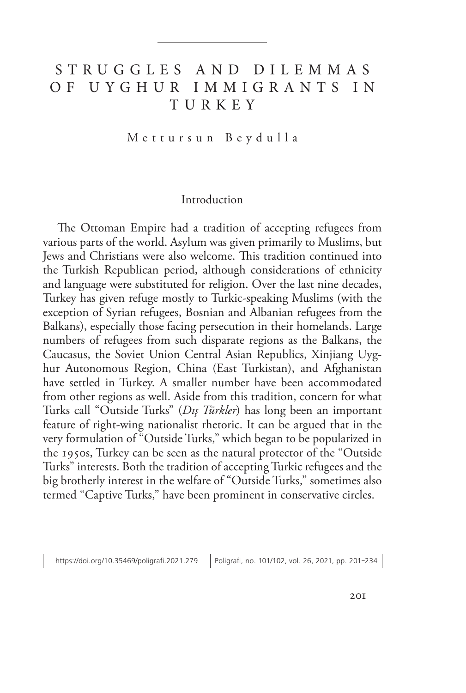# S T R U G G L E S A N D D I L E M M A S O F U Y G H U R I M M I G R A N T S I N TURKEY

Mettursun Beydulla

### Introduction

The Ottoman Empire had a tradition of accepting refugees from various parts of the world. Asylum was given primarily to Muslims, but Jews and Christians were also welcome. This tradition continued into the Turkish Republican period, although considerations of ethnicity and language were substituted for religion. Over the last nine decades, Turkey has given refuge mostly to Turkic-speaking Muslims (with the exception of Syrian refugees, Bosnian and Albanian refugees from the Balkans), especially those facing persecution in their homelands. Large numbers of refugees from such disparate regions as the Balkans, the Caucasus, the Soviet Union Central Asian Republics, Xinjiang Uyghur Autonomous Region, China (East Turkistan), and Afghanistan have settled in Turkey. A smaller number have been accommodated from other regions as well. Aside from this tradition, concern for what Turks call "Outside Turks" (*Dış Türkler*) has long been an important feature of right-wing nationalist rhetoric. It can be argued that in the very formulation of "Outside Turks," which began to be popularized in the 1950s, Turkey can be seen as the natural protector of the "Outside Turks" interests. Both the tradition of accepting Turkic refugees and the big brotherly interest in the welfare of "Outside Turks," sometimes also termed "Captive Turks," have been prominent in conservative circles.

https://doi.org/10.35469/poligrafi.2021.279 | Poligrafi, no. 101/102, vol. 26, 2021, pp. 201-234 |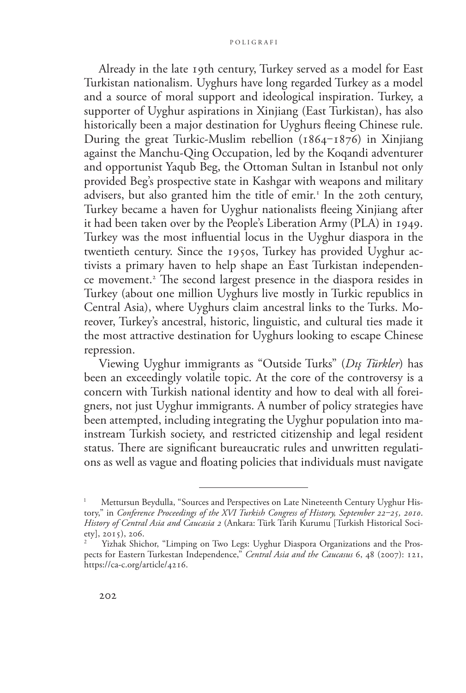Already in the late 19th century, Turkey served as a model for East Turkistan nationalism. Uyghurs have long regarded Turkey as a model and a source of moral support and ideological inspiration. Turkey, a supporter of Uyghur aspirations in Xinjiang (East Turkistan), has also historically been a major destination for Uyghurs fleeing Chinese rule. During the great Turkic-Muslim rebellion  $(1864 - 1876)$  in Xinjiang against the Manchu-Qing Occupation, led by the Koqandi adventurer and opportunist Yaqub Beg, the Ottoman Sultan in Istanbul not only provided Beg's prospective state in Kashgar with weapons and military advisers, but also granted him the title of emir.<sup>1</sup> In the 20th century, Turkey became a haven for Uyghur nationalists fleeing Xinjiang after it had been taken over by the People's Liberation Army (PLA) in 1949. Turkey was the most influential locus in the Uyghur diaspora in the twentieth century. Since the 1950s, Turkey has provided Uyghur activists a primary haven to help shape an East Turkistan independence movement.2 The second largest presence in the diaspora resides in Turkey (about one million Uyghurs live mostly in Turkic republics in Central Asia), where Uyghurs claim ancestral links to the Turks. Moreover, Turkey's ancestral, historic, linguistic, and cultural ties made it the most attractive destination for Uyghurs looking to escape Chinese repression.

Viewing Uyghur immigrants as "Outside Turks" (*Dış Türkler*) has been an exceedingly volatile topic. At the core of the controversy is a concern with Turkish national identity and how to deal with all foreigners, not just Uyghur immigrants. A number of policy strategies have been attempted, including integrating the Uyghur population into mainstream Turkish society, and restricted citizenship and legal resident status. There are significant bureaucratic rules and unwritten regulations as well as vague and floating policies that individuals must navigate

Mettursun Beydulla, "Sources and Perspectives on Late Nineteenth Century Uyghur History," in *Conference Proceedings of the XVI Turkish Congress of History, September 22‒25, 2010*. *History of Central Asia and Caucasia 2* (Ankara: Türk Tarih Kurumu [Turkish Historical Society], 2015), 206.

Yizhak Shichor, "Limping on Two Legs: Uyghur Diaspora Organizations and the Prospects for Eastern Turkestan Independence," *Central Asia and the Caucasus* 6, 48 (2007): 121, [https://ca-c.org/article/4216.](https://ca-c.org/article/4216)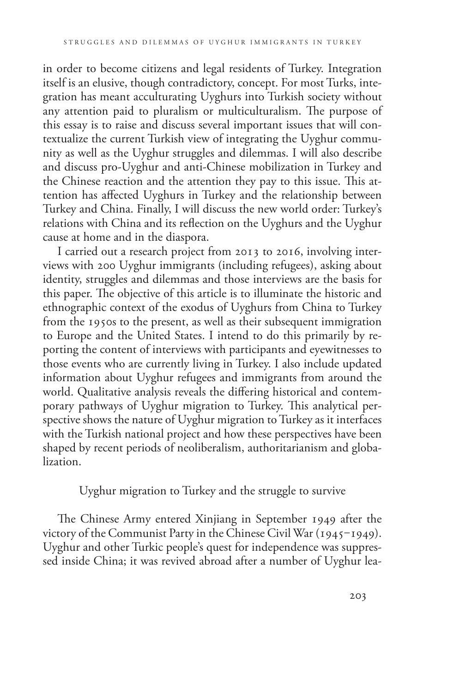in order to become citizens and legal residents of Turkey. Integration itself is an elusive, though contradictory, concept. For most Turks, integration has meant acculturating Uyghurs into Turkish society without any attention paid to pluralism or multiculturalism. The purpose of this essay is to raise and discuss several important issues that will contextualize the current Turkish view of integrating the Uyghur community as well as the Uyghur struggles and dilemmas. I will also describe and discuss pro-Uyghur and anti-Chinese mobilization in Turkey and the Chinese reaction and the attention they pay to this issue. This attention has affected Uyghurs in Turkey and the relationship between Turkey and China. Finally, I will discuss the new world order: Turkey's relations with China and its reflection on the Uyghurs and the Uyghur cause at home and in the diaspora.

I carried out a research project from 2013 to 2016, involving interviews with 200 Uyghur immigrants (including refugees), asking about identity, struggles and dilemmas and those interviews are the basis for this paper. The objective of this article is to illuminate the historic and ethnographic context of the exodus of Uyghurs from China to Turkey from the 1950s to the present, as well as their subsequent immigration to Europe and the United States. I intend to do this primarily by reporting the content of interviews with participants and eyewitnesses to those events who are currently living in Turkey. I also include updated information about Uyghur refugees and immigrants from around the world. Qualitative analysis reveals the differing historical and contemporary pathways of Uyghur migration to Turkey. This analytical perspective shows the nature of Uyghur migration to Turkey as it interfaces with the Turkish national project and how these perspectives have been shaped by recent periods of neoliberalism, authoritarianism and globalization.

Uyghur migration to Turkey and the struggle to survive

The Chinese Army entered Xinjiang in September 1949 after the victory of the Communist Party in the Chinese Civil War  $(1945-1949)$ . Uyghur and other Turkic people's quest for independence was suppressed inside China; it was revived abroad after a number of Uyghur lea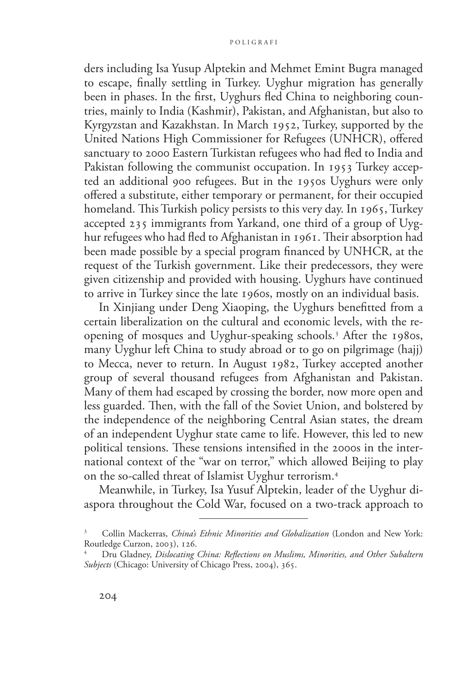ders including Isa Yusup Alptekin and Mehmet Emint Bugra managed to escape, finally settling in Turkey. Uyghur migration has generally been in phases. In the first, Uyghurs fled China to neighboring countries, mainly to India (Kashmir), Pakistan, and Afghanistan, but also to Kyrgyzstan and Kazakhstan. In March 1952, Turkey, supported by the United Nations High Commissioner for Refugees (UNHCR), offered sanctuary to 2000 Eastern Turkistan refugees who had fled to India and Pakistan following the communist occupation. In 1953 Turkey accepted an additional 900 refugees. But in the 1950s Uyghurs were only offered a substitute, either temporary or permanent, for their occupied homeland. This Turkish policy persists to this very day. In 1965, Turkey accepted 235 immigrants from Yarkand, one third of a group of Uyghur refugees who had fled to Afghanistan in 1961. Their absorption had been made possible by a special program financed by UNHCR, at the request of the Turkish government. Like their predecessors, they were given citizenship and provided with housing. Uyghurs have continued to arrive in Turkey since the late 1960s, mostly on an individual basis.

In Xinjiang under Deng Xiaoping, the Uyghurs benefitted from a certain liberalization on the cultural and economic levels, with the reopening of mosques and Uyghur-speaking schools.3 After the 1980s, many Uyghur left China to study abroad or to go on pilgrimage (hajj) to Mecca, never to return. In August 1982, Turkey accepted another group of several thousand refugees from Afghanistan and Pakistan. Many of them had escaped by crossing the border, now more open and less guarded. Then, with the fall of the Soviet Union, and bolstered by the independence of the neighboring Central Asian states, the dream of an independent Uyghur state came to life. However, this led to new political tensions. These tensions intensified in the 2000s in the international context of the "war on terror," which allowed Beijing to play on the so-called threat of Islamist Uyghur terrorism.4

Meanwhile, in Turkey, Isa Yusuf Alptekin, leader of the Uyghur diaspora throughout the Cold War, focused on a two-track approach to

<sup>3</sup> Collin Mackerras, *China's Ethnic Minorities and Globalization* (London and New York: Routledge Curzon, 2003), 126.

<sup>4</sup> Dru Gladney, *Dislocating China: Reflections on Muslims, Minorities, and Other Subaltern Subjects* (Chicago: University of Chicago Press, 2004), 365.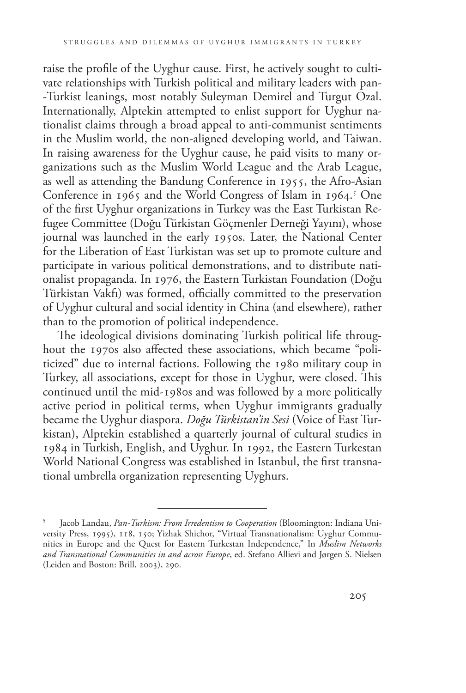raise the profile of the Uyghur cause. First, he actively sought to cultivate relationships with Turkish political and military leaders with pan- -Turkist leanings, most notably Suleyman Demirel and Turgut Ozal. Internationally, Alptekin attempted to enlist support for Uyghur nationalist claims through a broad appeal to anti-communist sentiments in the Muslim world, the non-aligned developing world, and Taiwan. In raising awareness for the Uyghur cause, he paid visits to many organizations such as the Muslim World League and the Arab League, as well as attending the Bandung Conference in 1955, the Afro-Asian Conference in 1965 and the World Congress of Islam in 1964.<sup>5</sup> One of the first Uyghur organizations in Turkey was the East Turkistan Refugee Committee (Doğu Türkistan Göçmenler Derneği Yayını), whose journal was launched in the early 1950s. Later, the National Center for the Liberation of East Turkistan was set up to promote culture and participate in various political demonstrations, and to distribute nationalist propaganda. In 1976, the Eastern Turkistan Foundation (Doğu Türkistan Vakfı) was formed, officially committed to the preservation of Uyghur cultural and social identity in China (and elsewhere), rather than to the promotion of political independence.

The ideological divisions dominating Turkish political life throughout the 1970s also affected these associations, which became "politicized" due to internal factions. Following the 1980 military coup in Turkey, all associations, except for those in Uyghur, were closed. This continued until the mid-1980s and was followed by a more politically active period in political terms, when Uyghur immigrants gradually became the Uyghur diaspora. *Doğu Türkistan'in Sesi* (Voice of East Turkistan), Alptekin established a quarterly journal of cultural studies in 1984 in Turkish, English, and Uyghur. In 1992, the Eastern Turkestan World National Congress was established in Istanbul, the first transnational umbrella organization representing Uyghurs.

<sup>5</sup> Jacob Landau, *Pan-Turkism: From Irredentism to Cooperation* (Bloomington: Indiana University Press, 1995), 118, 150; Yizhak Shichor, "Virtual Transnationalism: Uyghur Communities in Europe and the Quest for Eastern Turkestan Independence," In *Muslim Networks and Transnational Communities in and across Europe*, ed. Stefano Allievi and Jørgen S. Nielsen (Leiden and Boston: Brill, 2003), 290.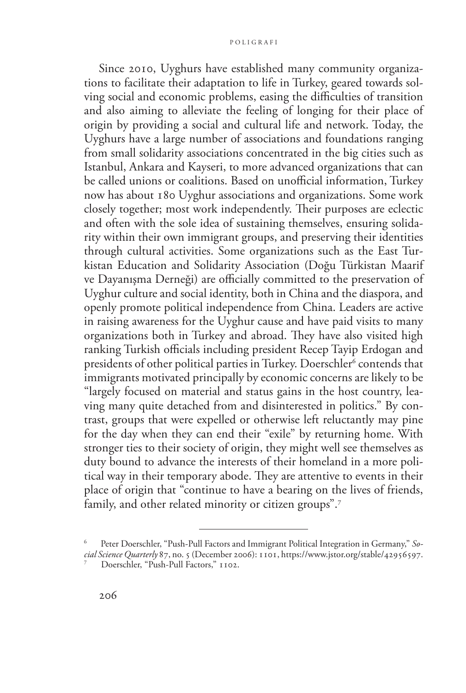#### p oli g ra f i

Since 2010, Uyghurs have established many community organizations to facilitate their adaptation to life in Turkey, geared towards solving social and economic problems, easing the difficulties of transition and also aiming to alleviate the feeling of longing for their place of origin by providing a social and cultural life and network. Today, the Uyghurs have a large number of associations and foundations ranging from small solidarity associations concentrated in the big cities such as Istanbul, Ankara and Kayseri, to more advanced organizations that can be called unions or coalitions. Based on unofficial information, Turkey now has about 180 Uyghur associations and organizations. Some work closely together; most work independently. Their purposes are eclectic and often with the sole idea of sustaining themselves, ensuring solidarity within their own immigrant groups, and preserving their identities through cultural activities. Some organizations such as the East Turkistan Education and Solidarity Association (Doğu Türkistan Maarif ve Dayanışma Derneği) are officially committed to the preservation of Uyghur culture and social identity, both in China and the diaspora, and openly promote political independence from China. Leaders are active in raising awareness for the Uyghur cause and have paid visits to many organizations both in Turkey and abroad. They have also visited high ranking Turkish officials including president Recep Tayip Erdogan and presidents of other political parties in Turkey. Doerschler<sup>6</sup> contends that immigrants motivated principally by economic concerns are likely to be "largely focused on material and status gains in the host country, leaving many quite detached from and disinterested in politics." By contrast, groups that were expelled or otherwise left reluctantly may pine for the day when they can end their "exile" by returning home. With stronger ties to their society of origin, they might well see themselves as duty bound to advance the interests of their homeland in a more political way in their temporary abode. They are attentive to events in their place of origin that "continue to have a bearing on the lives of friends, family, and other related minority or citizen groups".<sup>7</sup>

Peter Doerschler, "Push-Pull Factors and Immigrant Political Integration in Germany," So*cial Science Quarterly* 87, no. 5 (December 2006): 1101, [https://www.jstor.org/stable/42956597.](https://www.jstor.org/stable/42956597) Doerschler, "Push-Pull Factors," 1102.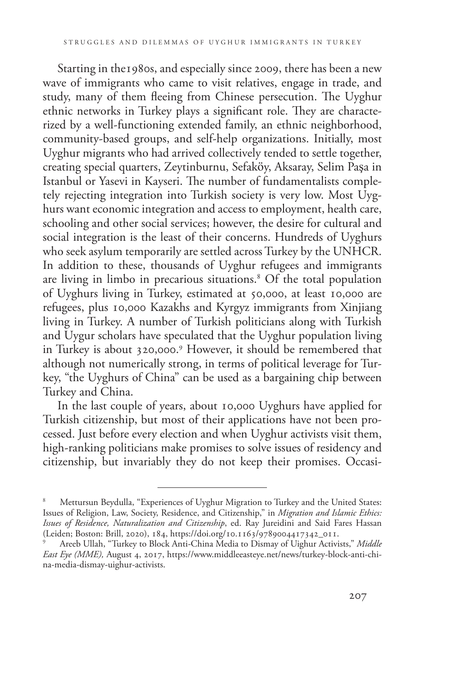Starting in the1980s, and especially since 2009, there has been a new wave of immigrants who came to visit relatives, engage in trade, and study, many of them fleeing from Chinese persecution. The Uyghur ethnic networks in Turkey plays a significant role. They are characterized by a well-functioning extended family, an ethnic neighborhood, community-based groups, and self-help organizations. Initially, most Uyghur migrants who had arrived collectively tended to settle together, creating special quarters, Zeytinburnu, Sefaköy, Aksaray, Selim Paşa in Istanbul or Yasevi in Kayseri. The number of fundamentalists completely rejecting integration into Turkish society is very low. Most Uyghurs want economic integration and access to employment, health care, schooling and other social services; however, the desire for cultural and social integration is the least of their concerns. Hundreds of Uyghurs who seek asylum temporarily are settled across Turkey by the UNHCR. In addition to these, thousands of Uyghur refugees and immigrants are living in limbo in precarious situations.8 Of the total population of Uyghurs living in Turkey, estimated at 50,000, at least 10,000 are refugees, plus 10,000 Kazakhs and Kyrgyz immigrants from Xinjiang living in Turkey. A number of Turkish politicians along with Turkish and Uygur scholars have speculated that the Uyghur population living in Turkey is about 320,000.9 However, it should be remembered that although not numerically strong, in terms of political leverage for Turkey, "the Uyghurs of China" can be used as a bargaining chip between Turkey and China.

In the last couple of years, about 10,000 Uyghurs have applied for Turkish citizenship, but most of their applications have not been processed. Just before every election and when Uyghur activists visit them, high-ranking politicians make promises to solve issues of residency and citizenship, but invariably they do not keep their promises. Occasi-

Mettursun Beydulla, "Experiences of Uyghur Migration to Turkey and the United States: Issues of Religion, Law, Society, Residence, and Citizenship," in *Migration and Islamic Ethics: Issues of Residence, Naturalization and Citizenship*, ed. Ray Jureidini and Said Fares Hassan (Leiden; Boston: Brill, 2020), 184, [https://doi.org/10.1163/9789004417342\\_011.](https://doi.org/10.1163/9789004417342_011) 9 Areeb Ullah, "Turkey to Block Anti-China Media to Dismay of Uighur Activists," *Middle* 

*East Eye (MME),* August 4, 2017, [https://www.middleeasteye.net/news/turkey-block-anti-chi](https://www.middleeasteye.net/news/turkey-block-anti-china-media-dismay-uighur-activists)[na-media-dismay-uighur-activists.](https://www.middleeasteye.net/news/turkey-block-anti-china-media-dismay-uighur-activists)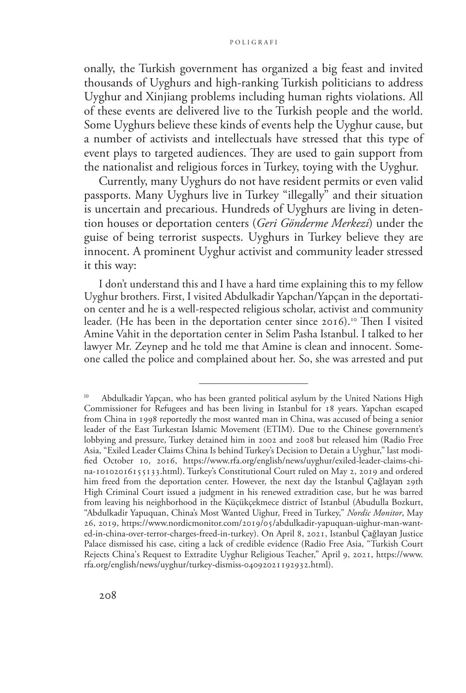onally, the Turkish government has organized a big feast and invited thousands of Uyghurs and high-ranking Turkish politicians to address Uyghur and Xinjiang problems including human rights violations. All of these events are delivered live to the Turkish people and the world. Some Uyghurs believe these kinds of events help the Uyghur cause, but a number of activists and intellectuals have stressed that this type of event plays to targeted audiences. They are used to gain support from the nationalist and religious forces in Turkey, toying with the Uyghur.

Currently, many Uyghurs do not have resident permits or even valid passports. Many Uyghurs live in Turkey "illegally" and their situation is uncertain and precarious. Hundreds of Uyghurs are living in detention houses or deportation centers (*Geri Gönderme Merkezi*) under the guise of being terrorist suspects. Uyghurs in Turkey believe they are innocent. A prominent Uyghur activist and community leader stressed it this way:

I don't understand this and I have a hard time explaining this to my fellow Uyghur brothers. First, I visited Abdulkadir Yapchan/Yapçan in the deportation center and he is a well-respected religious scholar, activist and community leader. (He has been in the deportation center since 2016).<sup>10</sup> Then I visited Amine Vahit in the deportation center in Selim Pasha Istanbul. I talked to her lawyer Mr. Zeynep and he told me that Amine is clean and innocent. Someone called the police and complained about her. So, she was arrested and put

Abdulkadir Yapçan, who has been granted political asylum by the United Nations High Commissioner for Refugees and has been living in Istanbul for 18 years. Yapchan escaped from China in 1998 reportedly the most wanted man in China, was accused of being a senior leader of the East Turkestan Islamic Movement (ETIM). Due to the Chinese government's lobbying and pressure, Turkey detained him in 2002 and 2008 but released him (Radio Free Asia, "Exiled Leader Claims China Is behind Turkey's Decision to Detain a Uyghur," last modified October 10, 2016, [https://www.rfa.org/english/news/uyghur/exiled-leader-claims-chi](https://www.rfa.org/english/news/uyghur/exiled-leader-claims-china-10102016155133.html)[na-10102016155133.html\)](https://www.rfa.org/english/news/uyghur/exiled-leader-claims-china-10102016155133.html). Turkey's Constitutional Court ruled on May 2, 2019 and ordered him freed from the deportation center. However, the next day the Istanbul Çağlayan 29th High Criminal Court issued a judgment in his renewed extradition case, but he was barred from leaving his neighborhood in the Küçükçekmece district of Istanbul (Abudulla Bozkurt, "Abdulkadir Yapuquan, China's Most Wanted Uighur, Freed in Turkey," *Nordic Monitor*, May 26, 2019, [https://www.nordicmonitor.com/2019/05/abdulkadir-yapuquan-uighur-man-want](https://www.nordicmonitor.com/2019/05/abdulkadir-yapuquan-uighur-man-wanted-in-china-over-terror-charges-freed-in-turkey)[ed-in-china-over-terror-charges-freed-in-turkey\)](https://www.nordicmonitor.com/2019/05/abdulkadir-yapuquan-uighur-man-wanted-in-china-over-terror-charges-freed-in-turkey). On April 8, 2021, Istanbul Çağlayan Justice Palace dismissed his case, citing a lack of credible evidence (Radio Free Asia, "Turkish Court Rejects China's Request to Extradite Uyghur Religious Teacher," April 9, 2021, [https://www.](https://www.rfa.org/english/news/uyghur/turkey-dismiss-04092021192932.html) [rfa.org/english/news/uyghur/turkey-dismiss-04092021192932.html](https://www.rfa.org/english/news/uyghur/turkey-dismiss-04092021192932.html)).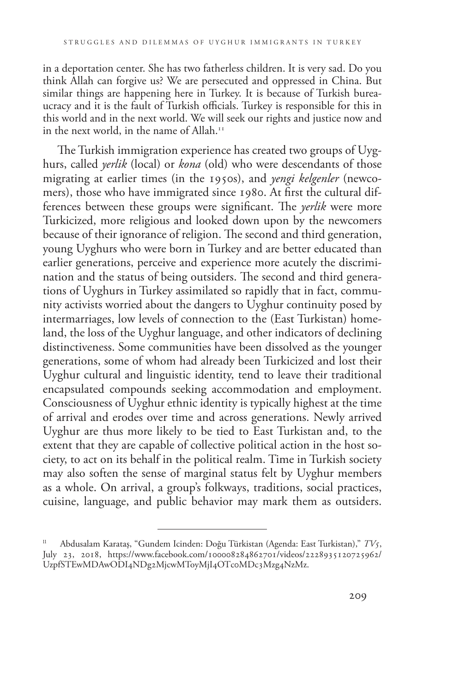in a deportation center. She has two fatherless children. It is very sad. Do you think Allah can forgive us? We are persecuted and oppressed in China. But similar things are happening here in Turkey. It is because of Turkish bureaucracy and it is the fault of Turkish officials. Turkey is responsible for this in this world and in the next world. We will seek our rights and justice now and in the next world, in the name of Allah.<sup>11</sup>

The Turkish immigration experience has created two groups of Uyghurs, called *yerlik* (local) or *kona* (old) who were descendants of those migrating at earlier times (in the 1950s), and *yengi kelgenler* (newcomers), those who have immigrated since 1980. At first the cultural differences between these groups were significant. The *yerlik* were more Turkicized, more religious and looked down upon by the newcomers because of their ignorance of religion. The second and third generation, young Uyghurs who were born in Turkey and are better educated than earlier generations, perceive and experience more acutely the discrimination and the status of being outsiders. The second and third generations of Uyghurs in Turkey assimilated so rapidly that in fact, community activists worried about the dangers to Uyghur continuity posed by intermarriages, low levels of connection to the (East Turkistan) homeland, the loss of the Uyghur language, and other indicators of declining distinctiveness. Some communities have been dissolved as the younger generations, some of whom had already been Turkicized and lost their Uyghur cultural and linguistic identity, tend to leave their traditional encapsulated compounds seeking accommodation and employment. Consciousness of Uyghur ethnic identity is typically highest at the time of arrival and erodes over time and across generations. Newly arrived Uyghur are thus more likely to be tied to East Turkistan and, to the extent that they are capable of collective political action in the host society, to act on its behalf in the political realm. Time in Turkish society may also soften the sense of marginal status felt by Uyghur members as a whole. On arrival, a group's folkways, traditions, social practices, cuisine, language, and public behavior may mark them as outsiders.

<sup>11</sup> Abdusalam Karataş, "Gundem Icinden: Doğu Türkistan (Agenda: East Turkistan)," *TV5*, July 23, 2018, [https://www.facebook.com/100008284862701/videos/2228935120725962/](https://www.facebook.com/100008284862701/videos/2228935120725962/UzpfSTEwMDAwODI4NDg2MjcwMToyMjI4OTc) [UzpfSTEwMDAwODI4NDg2MjcwMToyMjI4OTc0MDc3Mzg4NzMz](https://www.facebook.com/100008284862701/videos/2228935120725962/UzpfSTEwMDAwODI4NDg2MjcwMToyMjI4OTc).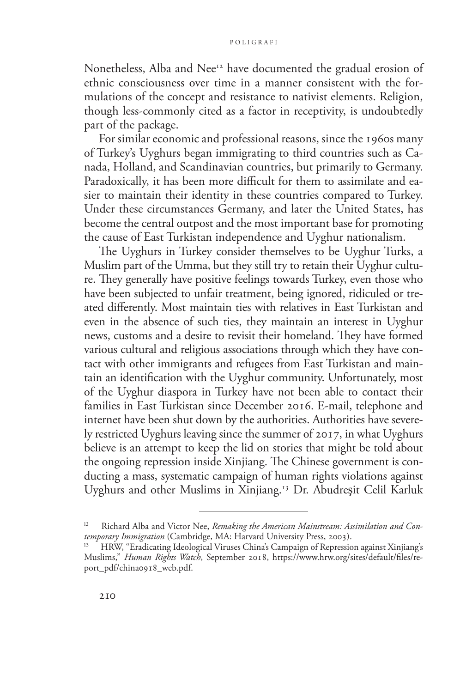Nonetheless, Alba and Nee<sup>12</sup> have documented the gradual erosion of ethnic consciousness over time in a manner consistent with the formulations of the concept and resistance to nativist elements. Religion, though less-commonly cited as a factor in receptivity, is undoubtedly part of the package.

For similar economic and professional reasons, since the 1960s many of Turkey's Uyghurs began immigrating to third countries such as Canada, Holland, and Scandinavian countries, but primarily to Germany. Paradoxically, it has been more difficult for them to assimilate and easier to maintain their identity in these countries compared to Turkey. Under these circumstances Germany, and later the United States, has become the central outpost and the most important base for promoting the cause of East Turkistan independence and Uyghur nationalism.

The Uyghurs in Turkey consider themselves to be Uyghur Turks, a Muslim part of the Umma, but they still try to retain their Uyghur culture. They generally have positive feelings towards Turkey, even those who have been subjected to unfair treatment, being ignored, ridiculed or treated differently. Most maintain ties with relatives in East Turkistan and even in the absence of such ties, they maintain an interest in Uyghur news, customs and a desire to revisit their homeland. They have formed various cultural and religious associations through which they have contact with other immigrants and refugees from East Turkistan and maintain an identification with the Uyghur community. Unfortunately, most of the Uyghur diaspora in Turkey have not been able to contact their families in East Turkistan since December 2016. E-mail, telephone and internet have been shut down by the authorities. Authorities have severely restricted Uyghurs leaving since the summer of 2017, in what Uyghurs believe is an attempt to keep the lid on stories that might be told about the ongoing repression inside Xinjiang. The Chinese government is conducting a mass, systematic campaign of human rights violations against Uyghurs and other Muslims in Xinjiang.13 Dr. Abudreşit Celil Karluk

Richard Alba and Victor Nee, *Remaking the American Mainstream: Assimilation and Contemporary Immigration* (Cambridge, MA: Harvard University Press, 2003).

<sup>13</sup> HRW, "Eradicating Ideological Viruses China's Campaign of Repression against Xinjiang's Muslims," *Human Rights Watch*, September 2018, [https://www.hrw.org/sites/default/files/re](https://www.hrw.org/sites/default/files/report_pdf/china0918_web.pdf)[port\\_pdf/china0918\\_web.pdf](https://www.hrw.org/sites/default/files/report_pdf/china0918_web.pdf).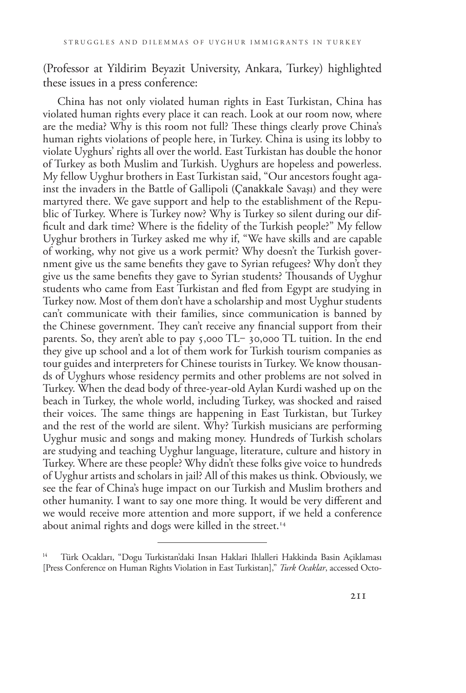(Professor at Yildirim Beyazit University, Ankara, Turkey) highlighted these issues in a press conference:

China has not only violated human rights in East Turkistan, China has violated human rights every place it can reach. Look at our room now, where are the media? Why is this room not full? These things clearly prove China's human rights violations of people here, in Turkey. China is using its lobby to violate Uyghurs' rights all over the world. East Turkistan has double the honor of Turkey as both Muslim and Turkish. Uyghurs are hopeless and powerless. My fellow Uyghur brothers in East Turkistan said, "Our ancestors fought against the invaders in the Battle of Gallipoli (Çanakkale Savaşı) and they were martyred there. We gave support and help to the establishment of the Republic of Turkey. Where is Turkey now? Why is Turkey so silent during our difficult and dark time? Where is the fidelity of the Turkish people?" My fellow Uyghur brothers in Turkey asked me why if, "We have skills and are capable of working, why not give us a work permit? Why doesn't the Turkish government give us the same benefits they gave to Syrian refugees? Why don't they give us the same benefits they gave to Syrian students? Thousands of Uyghur students who came from East Turkistan and fled from Egypt are studying in Turkey now. Most of them don't have a scholarship and most Uyghur students can't communicate with their families, since communication is banned by the Chinese government. They can't receive any financial support from their parents. So, they aren't able to pay 5,000 TL-30,000 TL tuition. In the end they give up school and a lot of them work for Turkish tourism companies as tour guides and interpreters for Chinese tourists in Turkey. We know thousands of Uyghurs whose residency permits and other problems are not solved in Turkey. When the dead body of three-year-old Aylan Kurdi washed up on the beach in Turkey, the whole world, including Turkey, was shocked and raised their voices. The same things are happening in East Turkistan, but Turkey and the rest of the world are silent. Why? Turkish musicians are performing Uyghur music and songs and making money. Hundreds of Turkish scholars are studying and teaching Uyghur language, literature, culture and history in Turkey. Where are these people? Why didn't these folks give voice to hundreds of Uyghur artists and scholars in jail? All of this makes us think. Obviously, we see the fear of China's huge impact on our Turkish and Muslim brothers and other humanity. I want to say one more thing. It would be very different and we would receive more attention and more support, if we held a conference about animal rights and dogs were killed in the street.<sup>14</sup>

Türk Ocakları, "Dogu Turkistan'daki Insan Haklari Ihlalleri Hakkinda Basin Açiklaması [Press Conference on Human Rights Violation in East Turkistan]," *Turk Ocaklar*, accessed Octo-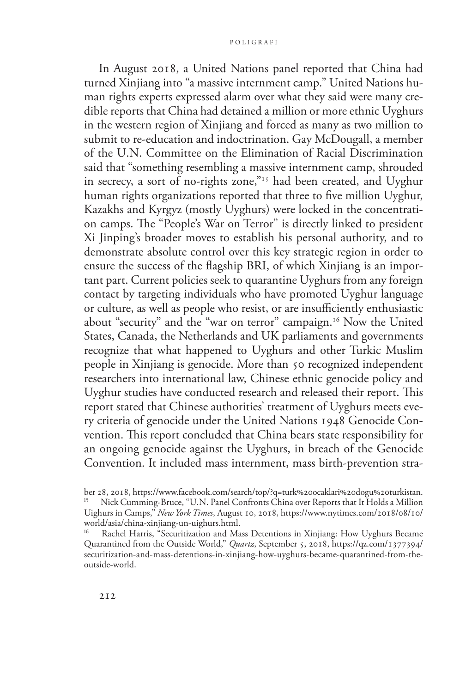#### p oli g ra f i

In August 2018, a United Nations panel reported that China had turned Xinjiang into "a massive internment camp." United Nations human rights experts expressed alarm over what they said were many credible reports that China had detained a million or more ethnic Uyghurs in the western region of Xinjiang and forced as many as two million to submit to re-education and indoctrination. Gay McDougall, a member of the U.N. Committee on the Elimination of Racial Discrimination said that "something resembling a massive internment camp, shrouded in secrecy, a sort of no-rights zone,"<sup>15</sup> had been created, and Uyghur human rights organizations reported that three to five million Uyghur, Kazakhs and Kyrgyz (mostly Uyghurs) were locked in the concentration camps. The "People's War on Terror" is directly linked to president Xi Jinping's broader moves to establish his personal authority, and to demonstrate absolute control over this key strategic region in order to ensure the success of the flagship BRI, of which Xinjiang is an important part. Current policies seek to quarantine Uyghurs from any foreign contact by targeting individuals who have promoted Uyghur language or culture, as well as people who resist, or are insufficiently enthusiastic about "security" and the "war on terror" campaign.<sup>16</sup> Now the United States, Canada, the Netherlands and UK parliaments and governments recognize that what happened to Uyghurs and other Turkic Muslim people in Xinjiang is genocide. More than 50 recognized independent researchers into international law, Chinese ethnic genocide policy and Uyghur studies have conducted research and released their report. This report stated that Chinese authorities' treatment of Uyghurs meets every criteria of genocide under the United Nations 1948 Genocide Convention. This report concluded that China bears state responsibility for an ongoing genocide against the Uyghurs, in breach of the Genocide Convention. It included mass internment, mass birth-prevention stra-

ber 28, 2018, [https://www.facebook.com/search/top/?q=turk%20ocaklari%20dogu%20turkistan.](https://www.facebook.com/search/top/?q=turk%20ocaklari%20dogu%20turkistan) <sup>15</sup> Nick Cumming-Bruce, "U.N. Panel Confronts China over Reports that It Holds a Million Uighurs in Camps," *New York Times*, August 10, 2018, [https://www.nytimes.com/2018/08/10/](https://www.nytimes.com/2018/08/10/world/asia/china-xinjiang-un-uighurs.html) [world/asia/china-xinjiang-un-uighurs.html](https://www.nytimes.com/2018/08/10/world/asia/china-xinjiang-un-uighurs.html).

Rachel Harris, "Securitization and Mass Detentions in Xinjiang: How Uyghurs Became Quarantined from the Outside World," *Quartz*, September 5, 2018, [https://qz.com/1377394/](https://qz.com/1377394/securitization-and-mass-detentions-in-xinjiang-how-uyghurs-became-quarantined-from-the-outside-world) [securitization-and-mass-detentions-in-xinjiang-how-uyghurs-became-quarantined-from-the](https://qz.com/1377394/securitization-and-mass-detentions-in-xinjiang-how-uyghurs-became-quarantined-from-the-outside-world)[outside-world.](https://qz.com/1377394/securitization-and-mass-detentions-in-xinjiang-how-uyghurs-became-quarantined-from-the-outside-world)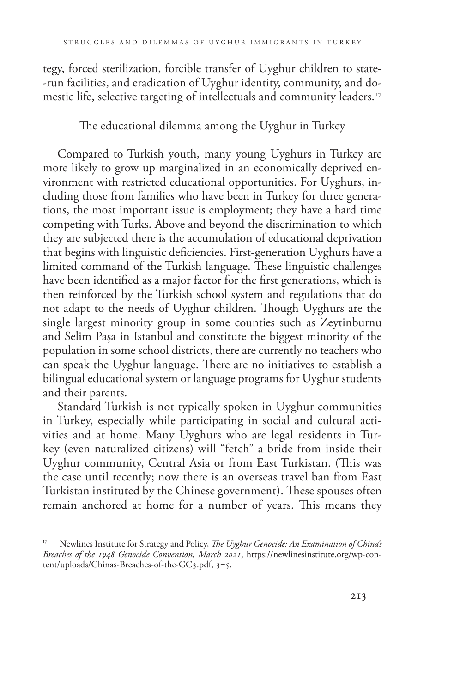tegy, forced sterilization, forcible transfer of Uyghur children to state- -run facilities, and eradication of Uyghur identity, community, and domestic life, selective targeting of intellectuals and community leaders.<sup>17</sup>

The educational dilemma among the Uyghur in Turkey

Compared to Turkish youth, many young Uyghurs in Turkey are more likely to grow up marginalized in an economically deprived environment with restricted educational opportunities. For Uyghurs, including those from families who have been in Turkey for three generations, the most important issue is employment; they have a hard time competing with Turks. Above and beyond the discrimination to which they are subjected there is the accumulation of educational deprivation that begins with linguistic deficiencies. First-generation Uyghurs have a limited command of the Turkish language. These linguistic challenges have been identified as a major factor for the first generations, which is then reinforced by the Turkish school system and regulations that do not adapt to the needs of Uyghur children. Though Uyghurs are the single largest minority group in some counties such as Zeytinburnu and Selim Paşa in Istanbul and constitute the biggest minority of the population in some school districts, there are currently no teachers who can speak the Uyghur language. There are no initiatives to establish a bilingual educational system or language programs for Uyghur students and their parents.

Standard Turkish is not typically spoken in Uyghur communities in Turkey, especially while participating in social and cultural activities and at home. Many Uyghurs who are legal residents in Turkey (even naturalized citizens) will "fetch" a bride from inside their Uyghur community, Central Asia or from East Turkistan. (This was the case until recently; now there is an overseas travel ban from East Turkistan instituted by the Chinese government). These spouses often remain anchored at home for a number of years. This means they

<sup>17</sup> Newlines Institute for Strategy and Policy, *The Uyghur Genocide: An Examination of China's Breaches of the 1948 Genocide Convention, March 2021*, [https://newlinesinstitute.org/wp-con](https://newlinesinstitute.org/wp-content/uploads/Chinas-Breaches-of-the-GC3.pdf)[tent/uploads/Chinas-Breaches-of-the-GC3.pdf](https://newlinesinstitute.org/wp-content/uploads/Chinas-Breaches-of-the-GC3.pdf), 3-5.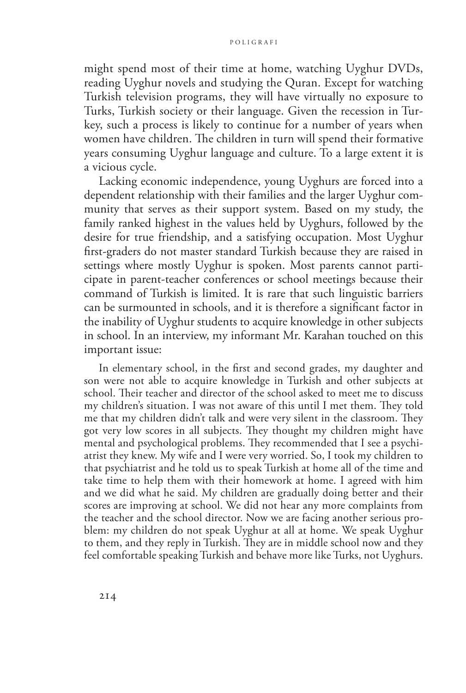might spend most of their time at home, watching Uyghur DVDs, reading Uyghur novels and studying the Quran. Except for watching Turkish television programs, they will have virtually no exposure to Turks, Turkish society or their language. Given the recession in Turkey, such a process is likely to continue for a number of years when women have children. The children in turn will spend their formative years consuming Uyghur language and culture. To a large extent it is a vicious cycle.

Lacking economic independence, young Uyghurs are forced into a dependent relationship with their families and the larger Uyghur community that serves as their support system. Based on my study, the family ranked highest in the values held by Uyghurs, followed by the desire for true friendship, and a satisfying occupation. Most Uyghur first-graders do not master standard Turkish because they are raised in settings where mostly Uyghur is spoken. Most parents cannot participate in parent-teacher conferences or school meetings because their command of Turkish is limited. It is rare that such linguistic barriers can be surmounted in schools, and it is therefore a significant factor in the inability of Uyghur students to acquire knowledge in other subjects in school. In an interview, my informant Mr. Karahan touched on this important issue:

In elementary school, in the first and second grades, my daughter and son were not able to acquire knowledge in Turkish and other subjects at school. Their teacher and director of the school asked to meet me to discuss my children's situation. I was not aware of this until I met them. They told me that my children didn't talk and were very silent in the classroom. They got very low scores in all subjects. They thought my children might have mental and psychological problems. They recommended that I see a psychiatrist they knew. My wife and I were very worried. So, I took my children to that psychiatrist and he told us to speak Turkish at home all of the time and take time to help them with their homework at home. I agreed with him and we did what he said. My children are gradually doing better and their scores are improving at school. We did not hear any more complaints from the teacher and the school director. Now we are facing another serious problem: my children do not speak Uyghur at all at home. We speak Uyghur to them, and they reply in Turkish. They are in middle school now and they feel comfortable speaking Turkish and behave more like Turks, not Uyghurs.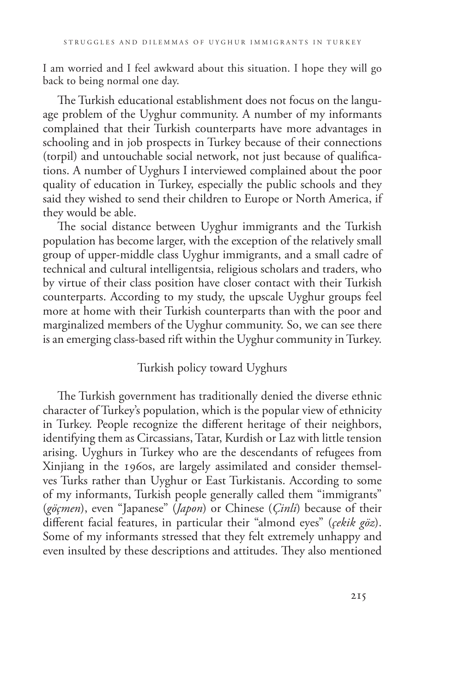I am worried and I feel awkward about this situation. I hope they will go back to being normal one day.

The Turkish educational establishment does not focus on the language problem of the Uyghur community. A number of my informants complained that their Turkish counterparts have more advantages in schooling and in job prospects in Turkey because of their connections (torpil) and untouchable social network, not just because of qualifications. A number of Uyghurs I interviewed complained about the poor quality of education in Turkey, especially the public schools and they said they wished to send their children to Europe or North America, if they would be able.

The social distance between Uyghur immigrants and the Turkish population has become larger, with the exception of the relatively small group of upper-middle class Uyghur immigrants, and a small cadre of technical and cultural intelligentsia, religious scholars and traders, who by virtue of their class position have closer contact with their Turkish counterparts. According to my study, the upscale Uyghur groups feel more at home with their Turkish counterparts than with the poor and marginalized members of the Uyghur community. So, we can see there is an emerging class-based rift within the Uyghur community in Turkey.

# Turkish policy toward Uyghurs

The Turkish government has traditionally denied the diverse ethnic character of Turkey's population, which is the popular view of ethnicity in Turkey. People recognize the different heritage of their neighbors, identifying them as Circassians, Tatar, Kurdish or Laz with little tension arising. Uyghurs in Turkey who are the descendants of refugees from Xinjiang in the 1960s, are largely assimilated and consider themselves Turks rather than Uyghur or East Turkistanis. According to some of my informants, Turkish people generally called them "immigrants" (*göçmen*), even "Japanese" (*Japon*) or Chinese (*Çinli*) because of their different facial features, in particular their "almond eyes" (*çekik göz*). Some of my informants stressed that they felt extremely unhappy and even insulted by these descriptions and attitudes. They also mentioned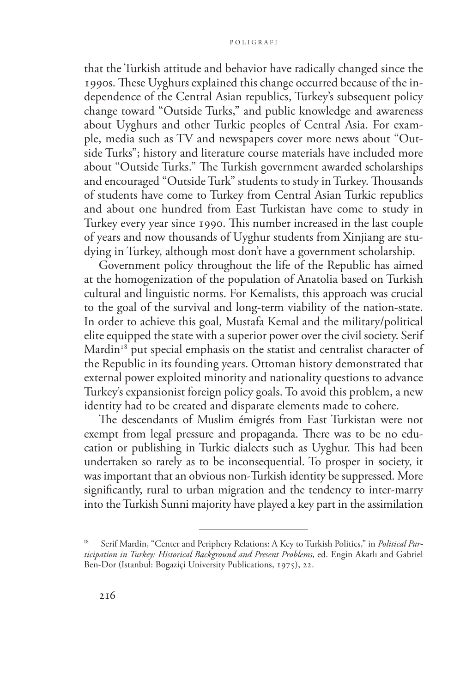that the Turkish attitude and behavior have radically changed since the 1990s. These Uyghurs explained this change occurred because of the independence of the Central Asian republics, Turkey's subsequent policy change toward "Outside Turks," and public knowledge and awareness about Uyghurs and other Turkic peoples of Central Asia. For example, media such as TV and newspapers cover more news about "Outside Turks"; history and literature course materials have included more about "Outside Turks." The Turkish government awarded scholarships and encouraged "Outside Turk" students to study in Turkey. Thousands of students have come to Turkey from Central Asian Turkic republics and about one hundred from East Turkistan have come to study in Turkey every year since 1990. This number increased in the last couple of years and now thousands of Uyghur students from Xinjiang are studying in Turkey, although most don't have a government scholarship.

Government policy throughout the life of the Republic has aimed at the homogenization of the population of Anatolia based on Turkish cultural and linguistic norms. For Kemalists, this approach was crucial to the goal of the survival and long-term viability of the nation-state. In order to achieve this goal, Mustafa Kemal and the military/political elite equipped the state with a superior power over the civil society. Serif Mardin<sup>18</sup> put special emphasis on the statist and centralist character of the Republic in its founding years. Ottoman history demonstrated that external power exploited minority and nationality questions to advance Turkey's expansionist foreign policy goals. To avoid this problem, a new identity had to be created and disparate elements made to cohere.

The descendants of Muslim émigrés from East Turkistan were not exempt from legal pressure and propaganda. There was to be no education or publishing in Turkic dialects such as Uyghur. This had been undertaken so rarely as to be inconsequential. To prosper in society, it was important that an obvious non-Turkish identity be suppressed. More significantly, rural to urban migration and the tendency to inter-marry into the Turkish Sunni majority have played a key part in the assimilation

Serif Mardin, "Center and Periphery Relations: A Key to Turkish Politics," in *Political Participation in Turkey: Historical Background and Present Problems*, ed. Engin Akarlı and Gabriel Ben-Dor (Istanbul: Bogaziçi University Publications, 1975), 22.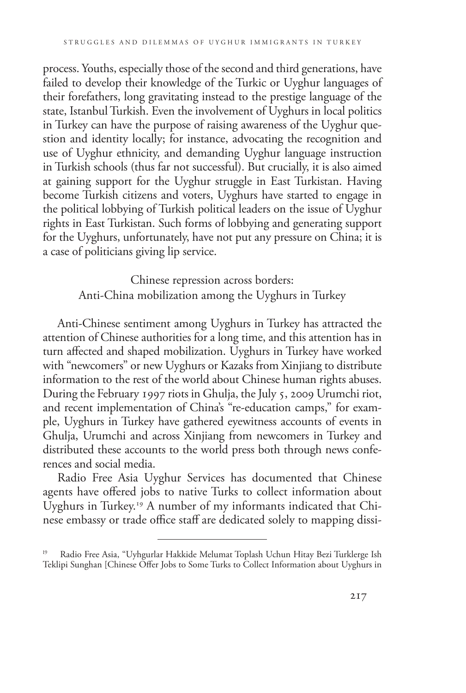process. Youths, especially those of the second and third generations, have failed to develop their knowledge of the Turkic or Uyghur languages of their forefathers, long gravitating instead to the prestige language of the state, Istanbul Turkish. Even the involvement of Uyghurs in local politics in Turkey can have the purpose of raising awareness of the Uyghur question and identity locally; for instance, advocating the recognition and use of Uyghur ethnicity, and demanding Uyghur language instruction in Turkish schools (thus far not successful). But crucially, it is also aimed at gaining support for the Uyghur struggle in East Turkistan. Having become Turkish citizens and voters, Uyghurs have started to engage in the political lobbying of Turkish political leaders on the issue of Uyghur rights in East Turkistan. Such forms of lobbying and generating support for the Uyghurs, unfortunately, have not put any pressure on China; it is a case of politicians giving lip service.

> Chinese repression across borders: Anti-China mobilization among the Uyghurs in Turkey

Anti-Chinese sentiment among Uyghurs in Turkey has attracted the attention of Chinese authorities for a long time, and this attention has in turn affected and shaped mobilization. Uyghurs in Turkey have worked with "newcomers" or new Uyghurs or Kazaks from Xinjiang to distribute information to the rest of the world about Chinese human rights abuses. During the February 1997 riots in Ghulja, the July 5, 2009 Urumchi riot, and recent implementation of China's "re-education camps," for example, Uyghurs in Turkey have gathered eyewitness accounts of events in Ghulja, Urumchi and across Xinjiang from newcomers in Turkey and distributed these accounts to the world press both through news conferences and social media.

Radio Free Asia Uyghur Services has documented that Chinese agents have offered jobs to native Turks to collect information about Uyghurs in Turkey.19 A number of my informants indicated that Chinese embassy or trade office staff are dedicated solely to mapping dissi-

Radio Free Asia, "Uyhgurlar Hakkide Melumat Toplash Uchun Hitay Bezi Turklerge Ish Teklipi Sunghan [Chinese Offer Jobs to Some Turks to Collect Information about Uyghurs in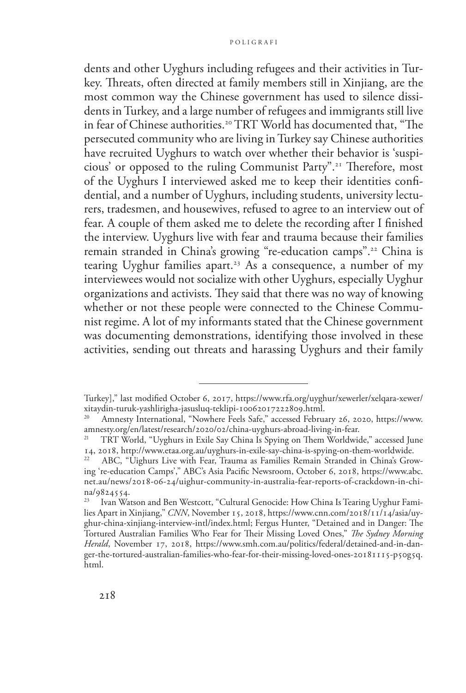dents and other Uyghurs including refugees and their activities in Turkey. Threats, often directed at family members still in Xinjiang, are the most common way the Chinese government has used to silence dissidents in Turkey, and a large number of refugees and immigrants still live in fear of Chinese authorities.<sup>20</sup> TRT World has documented that, "The persecuted community who are living in Turkey say Chinese authorities have recruited Uyghurs to watch over whether their behavior is 'suspicious' or opposed to the ruling Communist Party".21 Therefore, most of the Uyghurs I interviewed asked me to keep their identities confidential, and a number of Uyghurs, including students, university lecturers, tradesmen, and housewives, refused to agree to an interview out of fear. A couple of them asked me to delete the recording after I finished the interview. Uyghurs live with fear and trauma because their families remain stranded in China's growing "re-education camps".22 China is tearing Uyghur families apart.<sup>23</sup> As a consequence, a number of my interviewees would not socialize with other Uyghurs, especially Uyghur organizations and activists. They said that there was no way of knowing whether or not these people were connected to the Chinese Communist regime. A lot of my informants stated that the Chinese government was documenting demonstrations, identifying those involved in these activities, sending out threats and harassing Uyghurs and their family

Turkey]," last modified October 6, 2017, [https://www.rfa.org/uyghur/xewerler/xelqara-xewer/](https://www.rfa.org/uyghur/xewerler/xelqara-xewer/xitaydin-turuk-yashlirigha-jasusluq-teklipi-10062017222809.html) [xitaydin-turuk-yashlirigha-jasusluq-teklipi-10062017222809.html](https://www.rfa.org/uyghur/xewerler/xelqara-xewer/xitaydin-turuk-yashlirigha-jasusluq-teklipi-10062017222809.html).

Amnesty International, "Nowhere Feels Safe," accessed February 26, 2020, [https://www.](https://www.amnesty.org/en/latest/research/2020/02/china-uyghurs-abroad-living-in-fear) [amnesty.org/en/latest/research/2020/02/china-uyghurs-abroad-living-in-fear.](https://www.amnesty.org/en/latest/research/2020/02/china-uyghurs-abroad-living-in-fear)

<sup>21</sup> TRT World, "Uyghurs in Exile Say China Is Spying on Them Worldwide," accessed June 14, 2018,<http://www.etaa.org.au/uyghurs-in-exile-say-china-is-spying-on-them-worldwide>. 22 ABC, "Uighurs Live with Fear, Trauma as Families Remain Stranded in China's Grow-

ing 're-education Camps'," ABC's Asia Pacific Newsroom, October 6, 2018, [https://www.abc.](https://www.abc.net.au/news/2018-06-24/uighur-community-in-australia-fear-reports-of-crackdown-in-china/9824554) [net.au/news/2018-06-24/uighur-community-in-australia-fear-reports-of-crackdown-in-chi](https://www.abc.net.au/news/2018-06-24/uighur-community-in-australia-fear-reports-of-crackdown-in-china/9824554)[na/9824554.](https://www.abc.net.au/news/2018-06-24/uighur-community-in-australia-fear-reports-of-crackdown-in-china/9824554)<br><sup>23</sup> Ivan Wa

Ivan Watson and Ben Westcott, "Cultural Genocide: How China Is Tearing Uyghur Families Apart in Xinjiang," *CNN*, November 15, 2018, [https://www.cnn.com/2018/11/14/asia/uy](https://www.cnn.com/2018/11/14/asia/uyghur-china-xinjiang-interview-intl/index.html)[ghur-china-xinjiang-interview-intl/index.html;](https://www.cnn.com/2018/11/14/asia/uyghur-china-xinjiang-interview-intl/index.html) Fergus Hunter, "Detained and in Danger: The Tortured Australian Families Who Fear for Their Missing Loved Ones," *The Sydney Morning Herald*, November 17, 2018, [https://www.smh.com.au/politics/federal/detained-and-in-dan](https://www.smh.com.au/politics/federal/detained-and-in-danger-the-tortured-australian-families-who-fear-for-their-missing-loved-ones-20181115-p50g5q.html)[ger-the-tortured-australian-families-who-fear-for-their-missing-loved-ones-20181115-p50g5q.](https://www.smh.com.au/politics/federal/detained-and-in-danger-the-tortured-australian-families-who-fear-for-their-missing-loved-ones-20181115-p50g5q.html) [html](https://www.smh.com.au/politics/federal/detained-and-in-danger-the-tortured-australian-families-who-fear-for-their-missing-loved-ones-20181115-p50g5q.html).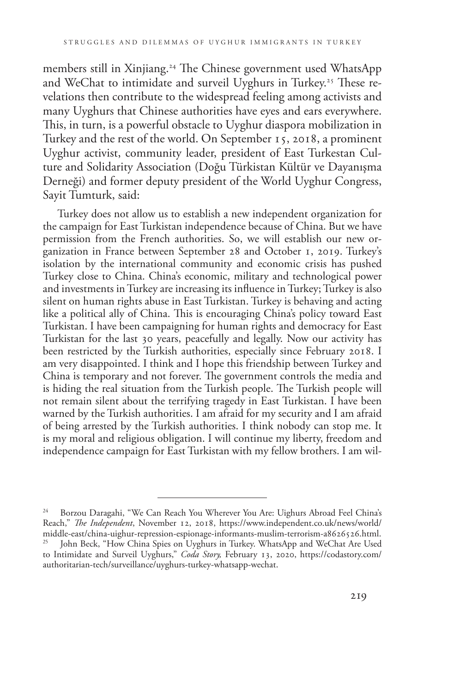members still in Xinjiang.<sup>24</sup> The Chinese government used WhatsApp and WeChat to intimidate and surveil Uyghurs in Turkey.<sup>25</sup> These revelations then contribute to the widespread feeling among activists and many Uyghurs that Chinese authorities have eyes and ears everywhere. This, in turn, is a powerful obstacle to Uyghur diaspora mobilization in Turkey and the rest of the world. On September 15, 2018, a prominent Uyghur activist, community leader, president of East Turkestan Culture and Solidarity Association (Doğu Türkistan Kültür ve Dayanışma Derneği) and former deputy president of the World Uyghur Congress, Sayit Tumturk, said:

Turkey does not allow us to establish a new independent organization for the campaign for East Turkistan independence because of China. But we have permission from the French authorities. So, we will establish our new organization in France between September 28 and October 1, 2019. Turkey's isolation by the international community and economic crisis has pushed Turkey close to China. China's economic, military and technological power and investments in Turkey are increasing its influence in Turkey; Turkey is also silent on human rights abuse in East Turkistan. Turkey is behaving and acting like a political ally of China. This is encouraging China's policy toward East Turkistan. I have been campaigning for human rights and democracy for East Turkistan for the last 30 years, peacefully and legally. Now our activity has been restricted by the Turkish authorities, especially since February 2018. I am very disappointed. I think and I hope this friendship between Turkey and China is temporary and not forever. The government controls the media and is hiding the real situation from the Turkish people. The Turkish people will not remain silent about the terrifying tragedy in East Turkistan. I have been warned by the Turkish authorities. I am afraid for my security and I am afraid of being arrested by the Turkish authorities. I think nobody can stop me. It is my moral and religious obligation. I will continue my liberty, freedom and independence campaign for East Turkistan with my fellow brothers. I am wil-

Borzou Daragahi, "We Can Reach You Wherever You Are: Uighurs Abroad Feel China's Reach," *The Independent*, November 12, 2018, [https://www.independent.co.uk/news/world/](https://www.independent.co.uk/news/world/middle-east/china-uighur-repression-espionage-informants-muslim-terrorism-a8626526.html) [middle-east/china-uighur-repression-espionage-informants-muslim-terrorism-a8626526.html](https://www.independent.co.uk/news/world/middle-east/china-uighur-repression-espionage-informants-muslim-terrorism-a8626526.html). John Beck, "How China Spies on Uyghurs in Turkey. WhatsApp and WeChat Are Used to Intimidate and Surveil Uyghurs," *Coda Story,* February 13, 2020, https://codastory.com/ authoritarian-tech/surveillance/uyghurs-turkey-whatsapp-wechat.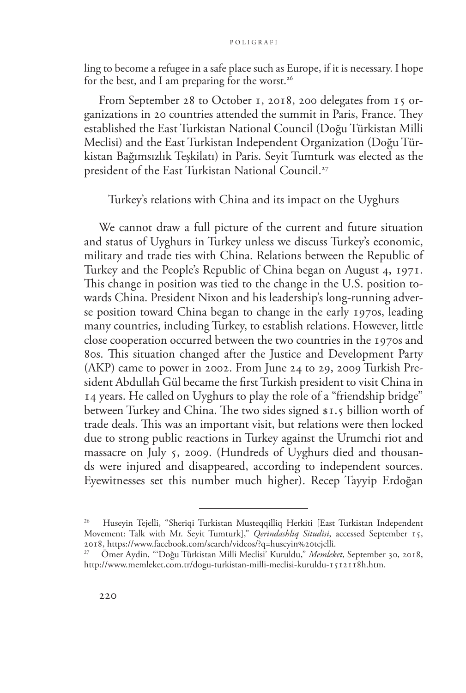ling to become a refugee in a safe place such as Europe, if it is necessary. I hope for the best, and I am preparing for the worst.<sup>26</sup>

From September 28 to October 1, 2018, 200 delegates from 15 organizations in 20 countries attended the summit in Paris, France. They established the East Turkistan National Council (Doğu Türkistan Milli Meclisi) and the East Turkistan Independent Organization (Doğu Türkistan Bağımsızlık Teşkilatı) in Paris. Seyit Tumturk was elected as the president of the East Turkistan National Council.<sup>27</sup>

Turkey's relations with China and its impact on the Uyghurs

We cannot draw a full picture of the current and future situation and status of Uyghurs in Turkey unless we discuss Turkey's economic, military and trade ties with China. Relations between the Republic of Turkey and the People's Republic of China began on August 4, 1971. This change in position was tied to the change in the U.S. position towards China. President Nixon and his leadership's long-running adverse position toward China began to change in the early 1970s, leading many countries, including Turkey, to establish relations. However, little close cooperation occurred between the two countries in the 1970s and 80s. This situation changed after the Justice and Development Party (AKP) came to power in 2002. From June 24 to 29, 2009 Turkish President Abdullah Gül became the first Turkish president to visit China in 14 years. He called on Uyghurs to play the role of a "friendship bridge" between Turkey and China. The two sides signed \$1.5 billion worth of trade deals. This was an important visit, but relations were then locked due to strong public reactions in Turkey against the Urumchi riot and massacre on July 5, 2009. (Hundreds of Uyghurs died and thousands were injured and disappeared, according to independent sources. Eyewitnesses set this number much higher). Recep Tayyip Erdoğan

<sup>26</sup> Huseyin Tejelli, "Sheriqi Turkistan Musteqqilliq Herkiti [East Turkistan Independent Movement: Talk with Mr. Seyit Tumturk]," *Qerindashliq Situdisi*, accessed September 15,

<sup>&</sup>lt;sup>27</sup> Ömer Aydin, "'Doğu Türkistan Milli Meclisi<sup>'</sup> Kuruldu," *Memleket*, September 30, 2018, [http://www.memleket.com.tr/dogu-turkistan-milli-meclisi-kuruldu-1512118h.htm.](http://www.memleket.com.tr/dogu-turkistan-milli-meclisi-kuruldu-1512118h.htm)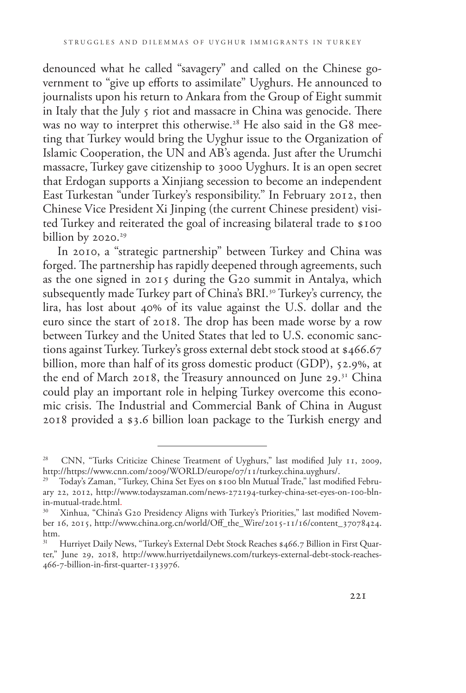denounced what he called "savagery" and called on the Chinese government to "give up efforts to assimilate" Uyghurs. He announced to journalists upon his return to Ankara from the Group of Eight summit in Italy that the July 5 riot and massacre in China was genocide. There was no way to interpret this otherwise.<sup>28</sup> He also said in the G8 meeting that Turkey would bring the Uyghur issue to the Organization of Islamic Cooperation, the UN and AB's agenda. Just after the Urumchi massacre, Turkey gave citizenship to 3000 Uyghurs. It is an open secret that Erdogan supports a Xinjiang secession to become an independent East Turkestan "under Turkey's responsibility." In February 2012, then Chinese Vice President Xi Jinping (the current Chinese president) visited Turkey and reiterated the goal of increasing bilateral trade to \$100 billion by  $2020.^{29}$ 

In 2010, a "strategic partnership" between Turkey and China was forged. The partnership has rapidly deepened through agreements, such as the one signed in 2015 during the G20 summit in Antalya, which subsequently made Turkey part of China's BRI.<sup>30</sup> Turkey's currency, the lira, has lost about 40% of its value against the U.S. dollar and the euro since the start of 2018. The drop has been made worse by a row between Turkey and the United States that led to U.S. economic sanctions against Turkey. Turkey's gross external debt stock stood at \$466.67 billion, more than half of its gross domestic product (GDP), 52.9%, at the end of March 2018, the Treasury announced on June 29.<sup>31</sup> China could play an important role in helping Turkey overcome this economic crisis. The Industrial and Commercial Bank of China in August 2018 provided a \$3.6 billion loan package to the Turkish energy and

<sup>&</sup>lt;sup>28</sup> CNN, "Turks Criticize Chinese Treatment of Uyghurs," last modified July 11, 2009, http://https://www.cnn.com/2009/WORLD/europe/07/11/turkey.china.uyghurs/.

Today's Zaman, "Turkey, China Set Eyes on \$100 bln Mutual Trade," last modified February 22, 2012, [http://www.todayszaman.com/news-272194-turkey-china-set-eyes-on-100-bln](http://www.todayszaman.com/news-272194-turkey-china-set-eyes-on-100-bln-in-mutual-trade.html)[in-mutual-trade.html](http://www.todayszaman.com/news-272194-turkey-china-set-eyes-on-100-bln-in-mutual-trade.html).<br><sup>30</sup> Xinhua "China's

Xinhua, "China's G20 Presidency Aligns with Turkey's Priorities," last modified November 16, 2015, [http://www.china.org.cn/world/Off\\_the\\_Wire/2015-11/16/content\\_37078424.](http://www.china.org.cn/world/Off_the_Wire/2015-11/16/content_37078424.htm) [htm.](http://www.china.org.cn/world/Off_the_Wire/2015-11/16/content_37078424.htm)<br><sup>[31](http://www.china.org.cn/world/Off_the_Wire/2015-11/16/content_37078424.htm)</sup> Hurriyet Daily News, "Turkey's External Debt Stock Reaches \$466.7 Billion in First Quar-

ter," June 29, 2018, [http://www.hurriyetdailynews.com/turkeys-external-debt-stock-reaches-](http://www.hurriyetdailynews.com/turkeys-external-debt-stock-reaches-466-7-billion-in-first-quarter-133976)[466-7-billion-in-first-quarter-133976.](http://www.hurriyetdailynews.com/turkeys-external-debt-stock-reaches-466-7-billion-in-first-quarter-133976)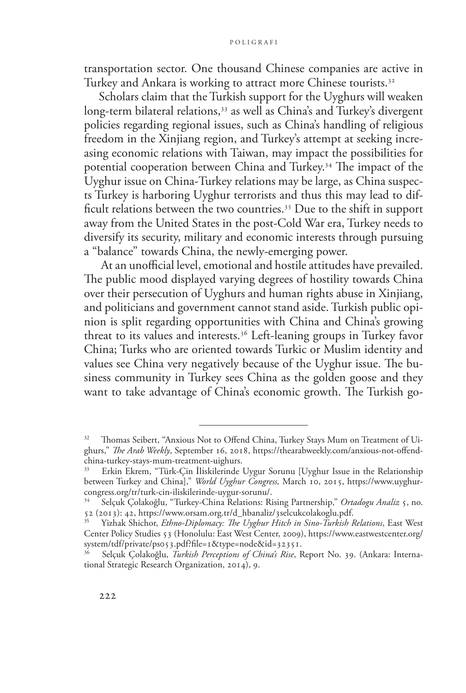transportation sector. One thousand Chinese companies are active in Turkey and Ankara is working to attract more Chinese tourists.<sup>32</sup>

Scholars claim that the Turkish support for the Uyghurs will weaken long-term bilateral relations,<sup>33</sup> as well as China's and Turkey's divergent policies regarding regional issues, such as China's handling of religious freedom in the Xinjiang region, and Turkey's attempt at seeking increasing economic relations with Taiwan, may impact the possibilities for potential cooperation between China and Turkey.34 The impact of the Uyghur issue on China-Turkey relations may be large, as China suspects Turkey is harboring Uyghur terrorists and thus this may lead to difficult relations between the two countries.35 Due to the shift in support away from the United States in the post-Cold War era, Turkey needs to diversify its security, military and economic interests through pursuing a "balance" towards China, the newly-emerging power.

 At an unofficial level, emotional and hostile attitudes have prevailed. The public mood displayed varying degrees of hostility towards China over their persecution of Uyghurs and human rights abuse in Xinjiang, and politicians and government cannot stand aside. Turkish public opinion is split regarding opportunities with China and China's growing threat to its values and interests.36 Left-leaning groups in Turkey favor China; Turks who are oriented towards Turkic or Muslim identity and values see China very negatively because of the Uyghur issue. The business community in Turkey sees China as the golden goose and they want to take advantage of China's economic growth. The Turkish go-

<sup>&</sup>lt;sup>32</sup> Thomas Seibert, "Anxious Not to Offend China, Turkey Stays Mum on Treatment of Uighurs," *The Arab Weekly*, September 16, 2018, [https://thearabweekly.com/anxious-not-offend](https://thearabweekly.com/anxious-not-offend-china-turkey-stays-mum-treatment-uighurs)[china-turkey-stays-mum-treatment-uighurs](https://thearabweekly.com/anxious-not-offend-china-turkey-stays-mum-treatment-uighurs).

<sup>33</sup> Erkin Ekrem, "Türk-Çin İliskilerinde Uygur Sorunu [Uyghur Issue in the Relationship between Turkey and China]," *World Uyghur Congress,* March 10, 2015, [https://www.uyghur](https://www.uyghurcongress.org/tr/turk-cin-iliskilerinde-uygur-sorunu/)[congress.org/tr/turk-cin-iliskilerinde-uygur-sorunu/.](https://www.uyghurcongress.org/tr/turk-cin-iliskilerinde-uygur-sorunu/)

<sup>34</sup> Selçuk Çolakoğlu, "Turkey-China Relations: Rising Partnership," *Ortadogu Analiz* 5, no. 52 (2013): 42, [https://www.orsam.org.tr/d\\_hbanaliz/3selcukcolakoglu.pdf.](https://www.orsam.org.tr/d_hbanaliz/3selcukcolakoglu.pdf)

<sup>35</sup> Yizhak Shichor, *Ethno-Diplomacy: The Uyghur Hitch in Sino-Turkish Relations*, East West Center Policy Studies 53 (Honolulu: East West Center, 2009), [https://www.eastwestcenter.org/](https://www.eastwestcenter.org/system/tdf/private/ps053.pdf?file=1&type=node&id=32351) [system/tdf/private/ps053.pdf?file=1&type=node&id=32351](https://www.eastwestcenter.org/system/tdf/private/ps053.pdf?file=1&type=node&id=32351).

<sup>36</sup> Selçuk Çolakoğlu, *Turkish Perceptions of China's Rise*, Report No. 39. (Ankara: International Strategic Research Organization, 2014), 9.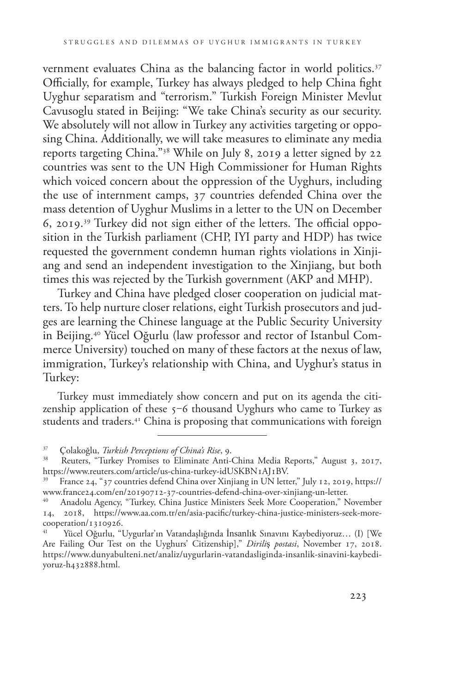vernment evaluates China as the balancing factor in world politics.<sup>37</sup> Officially, for example, Turkey has always pledged to help China fight Uyghur separatism and "terrorism." Turkish Foreign Minister Mevlut Cavusoglu stated in Beijing: "We take China's security as our security. We absolutely will not allow in Turkey any activities targeting or opposing China. Additionally, we will take measures to eliminate any media reports targeting China."38 While on July 8, 2019 a letter signed by 22 countries was sent to the UN High Commissioner for Human Rights which voiced concern about the oppression of the Uyghurs, including the use of internment camps, 37 countries defended China over the mass detention of Uyghur Muslims in a letter to the UN on December 6, 2019.39 Turkey did not sign either of the letters. The official opposition in the Turkish parliament (CHP, IYI party and HDP) has twice requested the government condemn human rights violations in Xinjiang and send an independent investigation to the Xinjiang, but both times this was rejected by the Turkish government (AKP and MHP).

Turkey and China have pledged closer cooperation on judicial matters. To help nurture closer relations, eight Turkish prosecutors and judges are learning the Chinese language at the Public Security University in Beijing.40 Yücel Oğurlu (law professor and rector of Istanbul Commerce University) touched on many of these factors at the nexus of law, immigration, Turkey's relationship with China, and Uyghur's status in Turkey:

Turkey must immediately show concern and put on its agenda the citizenship application of these  $5-6$  thousand Uyghurs who came to Turkey as students and traders.<sup>41</sup> China is proposing that communications with foreign

<sup>37</sup> Çolakoğlu, *Turkish Perceptions of China's Rise*, 9.

Reuters, "Turkey Promises to Eliminate Anti-China Media Reports," August 3, 2017, <https://www.reuters.com/article/us-china-turkey-idUSKBN1AJ1BV>.

<sup>39</sup> France 24, "37 countries defend China over Xinjiang in UN letter," July 12, 2019, [https://](https://www.france24.com/en/20190712-37-countries-defend-china-over-xinjiang-un-letter) [www.france24.com/en/20190712-37-countries-defend-china-over-xinjiang-un-letter.](https://www.france24.com/en/20190712-37-countries-defend-china-over-xinjiang-un-letter)

Anadolu Agency, "Turkey, China Justice Ministers Seek More Cooperation," November 14, 2018, [https://www.aa.com.tr/en/asia-pacific/turkey-china-justice-ministers-seek-more](https://www.aa.com.tr/en/asia-pacific/turkey-china-justice-ministers-seek-more-cooperation/1310926)[cooperation/1310926](https://www.aa.com.tr/en/asia-pacific/turkey-china-justice-ministers-seek-more-cooperation/1310926).

Yücel Oğurlu, "Uygurlar'ın Vatandaşlığında İnsanlık Sınavını Kaybediyoruz... (I) [We Are Failing Our Test on the Uyghurs' Citizenship]," *Dirili*ş *postasi*, November 17, 2018. [https://www.dunyabulteni.net/analiz/uygurlarin-vatandasliginda-insanlik-sinavini-kaybedi](https://www.dunyabulteni.net/analiz/uygurlarin-vatandasliginda-insanlik-sinavini-kaybediyoruz-h432888.html)[yoruz-h432888.html](https://www.dunyabulteni.net/analiz/uygurlarin-vatandasliginda-insanlik-sinavini-kaybediyoruz-h432888.html).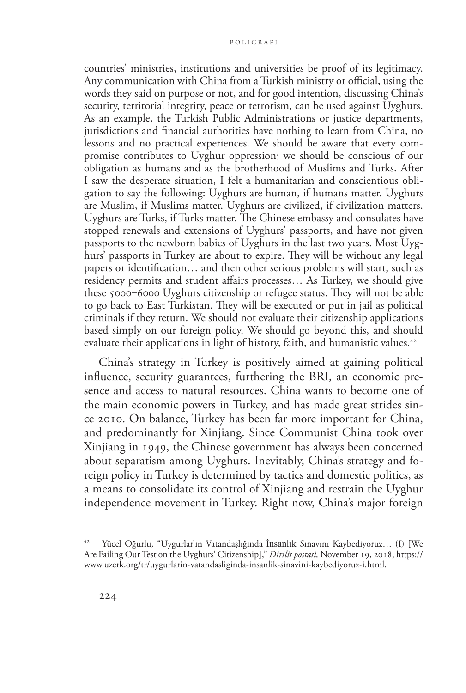countries' ministries, institutions and universities be proof of its legitimacy. Any communication with China from a Turkish ministry or official, using the words they said on purpose or not, and for good intention, discussing China's security, territorial integrity, peace or terrorism, can be used against Uyghurs. As an example, the Turkish Public Administrations or justice departments, jurisdictions and financial authorities have nothing to learn from China, no lessons and no practical experiences. We should be aware that every compromise contributes to Uyghur oppression; we should be conscious of our obligation as humans and as the brotherhood of Muslims and Turks. After I saw the desperate situation, I felt a humanitarian and conscientious obligation to say the following: Uyghurs are human, if humans matter. Uyghurs are Muslim, if Muslims matter. Uyghurs are civilized, if civilization matters. Uyghurs are Turks, if Turks matter. The Chinese embassy and consulates have stopped renewals and extensions of Uyghurs' passports, and have not given passports to the newborn babies of Uyghurs in the last two years. Most Uyghurs' passports in Turkey are about to expire. They will be without any legal papers or identification… and then other serious problems will start, such as residency permits and student affairs processes… As Turkey, we should give these 5000‒6000 Uyghurs citizenship or refugee status. They will not be able to go back to East Turkistan. They will be executed or put in jail as political criminals if they return. We should not evaluate their citizenship applications based simply on our foreign policy. We should go beyond this, and should evaluate their applications in light of history, faith, and humanistic values.<sup>42</sup>

China's strategy in Turkey is positively aimed at gaining political influence, security guarantees, furthering the BRI, an economic presence and access to natural resources. China wants to become one of the main economic powers in Turkey, and has made great strides since 2010. On balance, Turkey has been far more important for China, and predominantly for Xinjiang. Since Communist China took over Xinjiang in 1949, the Chinese government has always been concerned about separatism among Uyghurs. Inevitably, China's strategy and foreign policy in Turkey is determined by tactics and domestic politics, as a means to consolidate its control of Xinjiang and restrain the Uyghur independence movement in Turkey. Right now, China's major foreign

Yücel Oğurlu, "Uygurlar'ın Vatandaşlığında İnsanlık Sınavını Kaybediyoruz... (I) [We Are Failing Our Test on the Uyghurs' Citizenship]," *Diriliş postasi,* November 19, 2018, https:// www.uzerk.org/tr/uygurlarin-vatandasliginda-insanlik-sinavini-kaybediyoruz-i.html.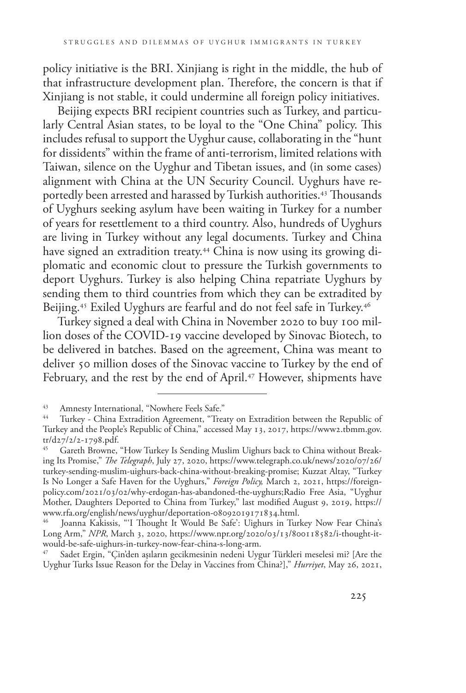policy initiative is the BRI. Xinjiang is right in the middle, the hub of that infrastructure development plan. Therefore, the concern is that if Xinjiang is not stable, it could undermine all foreign policy initiatives.

Beijing expects BRI recipient countries such as Turkey, and particularly Central Asian states, to be loyal to the "One China" policy. This includes refusal to support the Uyghur cause, collaborating in the "hunt for dissidents" within the frame of anti-terrorism, limited relations with Taiwan, silence on the Uyghur and Tibetan issues, and (in some cases) alignment with China at the UN Security Council. Uyghurs have reportedly been arrested and harassed by Turkish authorities.43 Thousands of Uyghurs seeking asylum have been waiting in Turkey for a number of years for resettlement to a third country. Also, hundreds of Uyghurs are living in Turkey without any legal documents. Turkey and China have signed an extradition treaty.<sup>44</sup> China is now using its growing diplomatic and economic clout to pressure the Turkish governments to deport Uyghurs. Turkey is also helping China repatriate Uyghurs by sending them to third countries from which they can be extradited by Beijing.<sup>45</sup> Exiled Uyghurs are fearful and do not feel safe in Turkey.<sup>46</sup>

Turkey signed a deal with China in November 2020 to buy 100 million doses of the COVID-19 vaccine developed by Sinovac Biotech, to be delivered in batches. Based on the agreement, China was meant to deliver 50 million doses of the Sinovac vaccine to Turkey by the end of February, and the rest by the end of April.<sup>47</sup> However, shipments have

<sup>&</sup>lt;sup>43</sup> Amnesty International, "Nowhere Feels Safe."<br><sup>44</sup> Turkey, China Extradition Agreement, "Tree

Turkey - China Extradition Agreement, "Treaty on Extradition between the Republic of Turkey and the People's Republic of China," accessed May 13, 2017, [https://www2.tbmm.gov.](https://www2.tbmm.gov.tr/d27/2/2-1798.pdf)  $\frac{\text{tr}}{45}$   $\frac{\text{cosh}}{\text{B}}$ 

Gareth Browne, "How Turkey Is Sending Muslim Uighurs back to China without Breaking Its Promise," *The Telegraph*, July 27, 2020, [https://www.telegraph.co.uk/news/2020/07/26/](https://www.telegraph.co.uk/news/2020/07/26/turkey-sending-muslim-uighurs-back-china-without-breaking-promise%3e%20(last%20accessed%207%20June%202020).%20) [turkey-sending-muslim-uighurs-back-china-without-breaking-promise;](https://www.telegraph.co.uk/news/2020/07/26/turkey-sending-muslim-uighurs-back-china-without-breaking-promise%3e%20(last%20accessed%207%20June%202020).%20) Kuzzat Altay, "Turkey Is No Longer a Safe Haven for the Uyghurs," *Foreign Policy,* March 2, 2021, [https://foreign](https://foreignpolicy.com/2021/03/02/why-erdogan-has-abandoned-the-uyghurs)[policy.com/2021/03/02/why-erdogan-has-abandoned-the-uyghurs;](https://foreignpolicy.com/2021/03/02/why-erdogan-has-abandoned-the-uyghurs)Radio Free Asia, "Uyghur Mother, Daughters Deported to China from Turkey," last modified August 9, 2019, [https://](https://www.rfa.org/english/news/uyghur/deportation-08092019171834.html) [www.rfa.org/english/news/uyghur/deportation-08092019171834.html.](https://www.rfa.org/english/news/uyghur/deportation-08092019171834.html)

Joanna Kakissis, "'I Thought It Would Be Safe': Uighurs in Turkey Now Fear China's Long Arm," *NPR*, March 3, 2020, [https://www.npr.org/2020/03/13/800118582/i-thought-it](https://www.npr.org/2020/03/13/800118582/i-thought-it-would-be-safe-uighurs-in-turkey-now-fear-china-s-long-arm.%20)[would-be-safe-uighurs-in-turkey-now-fear-china-s-long-arm.](https://www.npr.org/2020/03/13/800118582/i-thought-it-would-be-safe-uighurs-in-turkey-now-fear-china-s-long-arm.%20) 

<sup>47</sup> Sadet Ergin, "Çin'den aşıların gecikmesinin nedeni Uygur Türkleri meselesi mi? [Are the Uyghur Turks Issue Reason for the Delay in Vaccines from China?]," *Hurriyet*, May 26, 2021,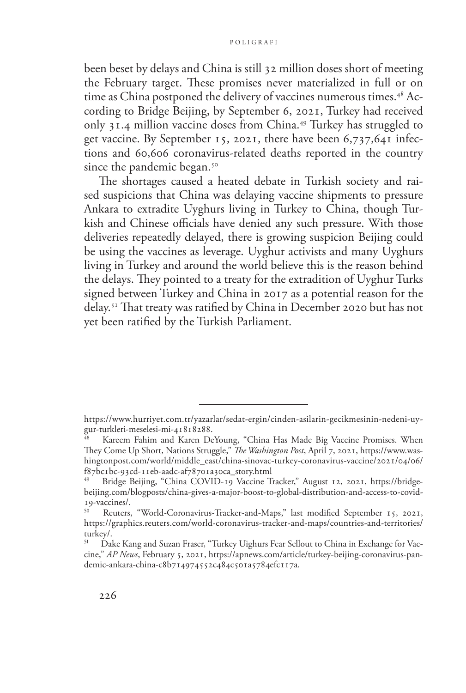been beset by delays and China is still 32 million doses short of meeting the February target. These promises never materialized in full or on time as China postponed the delivery of vaccines numerous times.<sup>48</sup> According to Bridge Beijing, by September 6, 2021, Turkey had received only 31.4 million vaccine doses from China.49 Turkey has struggled to get vaccine. By September 15, 2021, there have been 6,737,641 infections and 60,606 coronavirus-related deaths reported in the country since the pandemic began.<sup>50</sup>

The shortages caused a heated debate in Turkish society and raised suspicions that China was delaying vaccine shipments to pressure Ankara to extradite Uyghurs living in Turkey to China, though Turkish and Chinese officials have denied any such pressure. With those deliveries repeatedly delayed, there is growing suspicion Beijing could be using the vaccines as leverage. Uyghur activists and many Uyghurs living in Turkey and around the world believe this is the reason behind the delays. They pointed to a treaty for the extradition of Uyghur Turks signed between Turkey and China in 2017 as a potential reason for the delay.51 That treaty was ratified by China in December 2020 but has not yet been ratified by the Turkish Parliament.

[https://www.hurriyet.com.tr/yazarlar/sedat-ergin/cinden-asilarin-gecikmesinin-nedeni-uy](https://www.hurriyet.com.tr/yazarlar/sedat-ergin/cinden-asilarin-gecikmesinin-nedeni-uygur-turkleri-meselesi-mi-41818288)[gur-turkleri-meselesi-mi-41818288](https://www.hurriyet.com.tr/yazarlar/sedat-ergin/cinden-asilarin-gecikmesinin-nedeni-uygur-turkleri-meselesi-mi-41818288).

Kareem Fahim and Karen DeYoung, "China Has Made Big Vaccine Promises. When They Come Up Short, Nations Struggle," *The Washington Post*, April 7, 2021, [https://www.was](https://www.washingtonpost.com/world/middle_east/china-sinovac-turkey-coronavirus-vaccine/2021/04/06/f87bc1bc-93cd-11eb-aadc-af78701a30ca_story.html)[hingtonpost.com/world/middle\\_east/china-sinovac-turkey-coronavirus-vaccine/2021/04/06/](https://www.washingtonpost.com/world/middle_east/china-sinovac-turkey-coronavirus-vaccine/2021/04/06/f87bc1bc-93cd-11eb-aadc-af78701a30ca_story.html) [f87bc1bc-93cd-11eb-aadc-af78701a30ca\\_story.html](https://www.washingtonpost.com/world/middle_east/china-sinovac-turkey-coronavirus-vaccine/2021/04/06/f87bc1bc-93cd-11eb-aadc-af78701a30ca_story.html)

<sup>49</sup> Bridge Beijing, "China COVID-19 Vaccine Tracker," August 12, 2021, [https://bridge](https://bridgebeijing.com/blogposts/china-gives-a-major-boost-to-global-distribution-and-access-to-covid-19-vaccines/)[beijing.com/blogposts/china-gives-a-major-boost-to-global-distribution-and-access-to-covid-](https://bridgebeijing.com/blogposts/china-gives-a-major-boost-to-global-distribution-and-access-to-covid-19-vaccines/)[19-vaccines/.](https://bridgebeijing.com/blogposts/china-gives-a-major-boost-to-global-distribution-and-access-to-covid-19-vaccines/)

Reuters, "World-Coronavirus-Tracker-and-Maps," last modified September 15, 2021, https://graphics.reuters.com/world-coronavirus-tracker-and-maps/countries-and-territories/ turkey/.

<sup>51</sup> Dake Kang and Suzan Fraser, "Turkey Uighurs Fear Sellout to China in Exchange for Vaccine," *AP News*, February 5, 2021, https://apnews.com/article/turkey-beijing-coronavirus-pandemic-ankara-china-c8b714974552c484c501a5784efc117a.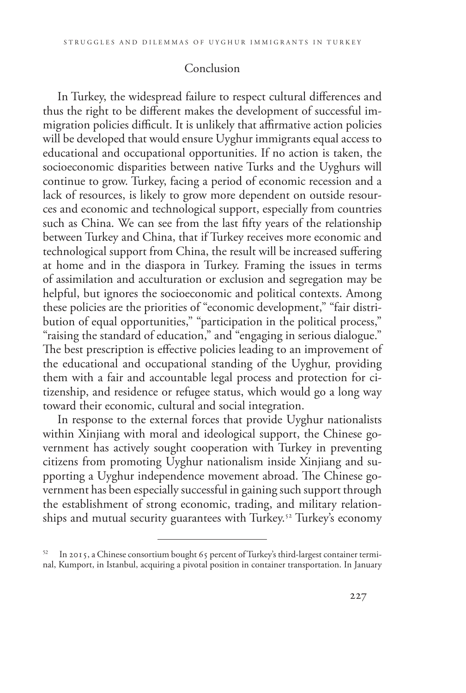# Conclusion

In Turkey, the widespread failure to respect cultural differences and thus the right to be different makes the development of successful immigration policies difficult. It is unlikely that affirmative action policies will be developed that would ensure Uyghur immigrants equal access to educational and occupational opportunities. If no action is taken, the socioeconomic disparities between native Turks and the Uyghurs will continue to grow. Turkey, facing a period of economic recession and a lack of resources, is likely to grow more dependent on outside resources and economic and technological support, especially from countries such as China. We can see from the last fifty years of the relationship between Turkey and China, that if Turkey receives more economic and technological support from China, the result will be increased suffering at home and in the diaspora in Turkey. Framing the issues in terms of assimilation and acculturation or exclusion and segregation may be helpful, but ignores the socioeconomic and political contexts. Among these policies are the priorities of "economic development," "fair distribution of equal opportunities," "participation in the political process," "raising the standard of education," and "engaging in serious dialogue." The best prescription is effective policies leading to an improvement of the educational and occupational standing of the Uyghur, providing them with a fair and accountable legal process and protection for citizenship, and residence or refugee status, which would go a long way toward their economic, cultural and social integration.

In response to the external forces that provide Uyghur nationalists within Xinjiang with moral and ideological support, the Chinese government has actively sought cooperation with Turkey in preventing citizens from promoting Uyghur nationalism inside Xinjiang and supporting a Uyghur independence movement abroad. The Chinese government has been especially successful in gaining such support through the establishment of strong economic, trading, and military relationships and mutual security guarantees with Turkey.<sup>52</sup> Turkey's economy

<sup>52</sup> In 2015, a Chinese consortium bought 65 percent of Turkey's third-largest container terminal, Kumport, in Istanbul, acquiring a pivotal position in container transportation. In January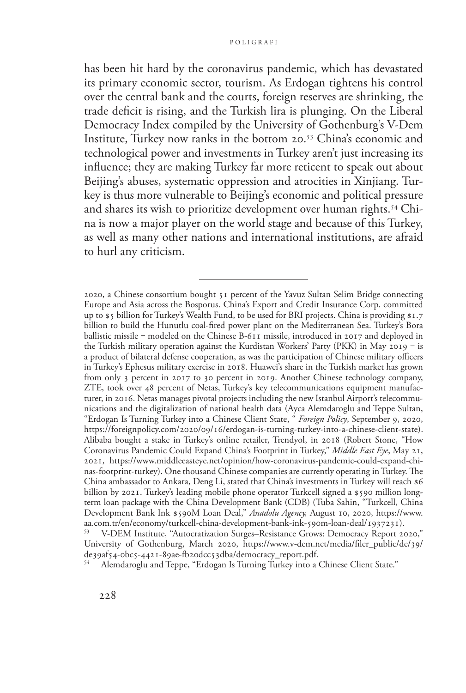has been hit hard by the coronavirus pandemic, which has devastated its primary economic sector, tourism. As Erdogan tightens his control over the central bank and the courts, foreign reserves are shrinking, the trade deficit is rising, and the Turkish lira is plunging. On the Liberal Democracy Index compiled by the University of Gothenburg's V-Dem Institute, Turkey now ranks in the bottom 20.53 China's economic and technological power and investments in Turkey aren't just increasing its influence; they are making Turkey far more reticent to speak out about Beijing's abuses, systematic oppression and atrocities in Xinjiang. Turkey is thus more vulnerable to Beijing's economic and political pressure and shares its wish to prioritize development over human rights.<sup>54</sup> China is now a major player on the world stage and because of this Turkey, as well as many other nations and international institutions, are afraid to hurl any criticism.

Alemdaroglu and Teppe, "Erdogan Is Turning Turkey into a Chinese Client State."

<sup>2020,</sup> a Chinese consortium bought 51 percent of the Yavuz Sultan Selim Bridge connecting Europe and Asia across the Bosporus. China's Export and Credit Insurance Corp. committed up to \$5 billion for Turkey's Wealth Fund, to be used for BRI projects. China is providing \$1.7 billion to build the Hunutlu coal-fired power plant on the Mediterranean Sea. Turkey's Bora ballistic missile - modeled on the Chinese B-611 missile, introduced in 2017 and deployed in the Turkish military operation against the Kurdistan Workers' Party (PKK) in May 2019 ‒ is a product of bilateral defense cooperation, as was the participation of Chinese military officers in Turkey's Ephesus military exercise in 2018. Huawei's share in the Turkish market has grown from only 3 percent in 2017 to 30 percent in 2019. Another Chinese technology company, ZTE, took over 48 percent of Netas, Turkey's key telecommunications equipment manufacturer, in 2016. Netas manages pivotal projects including the new Istanbul Airport's telecommunications and the digitalization of national health data (Ayca Alemdaroglu and Teppe Sultan, "Erdogan Is Turning Turkey into a Chinese Client State, " *Foreign Policy*, September 9, 2020, https://foreignpolicy.com/2020/09/16/erdogan-is-turning-turkey-into-a-chinese-client-state). Alibaba bought a stake in Turkey's online retailer, Trendyol, in 2018 (Robert Stone, "How Coronavirus Pandemic Could Expand China's Footprint in Turkey," *Middle East Eye*, May 21, 2021, [https://www.middleeasteye.net/opinion/how-coronavirus-pandemic-could-expand-chi](https://www.middleeasteye.net/opinion/how-coronavirus-pandemic-could-expand-chinas-footprint-turkey)[nas-footprint-turkey](https://www.middleeasteye.net/opinion/how-coronavirus-pandemic-could-expand-chinas-footprint-turkey)). One thousand Chinese companies are currently operating in Turkey. The China ambassador to Ankara, Deng Li, stated that China's investments in Turkey will reach \$6 billion by 2021. Turkey's leading mobile phone operator Turkcell signed a \$590 million longterm loan package with the China Development Bank (CDB) (Tuba Sahin, "Turkcell, China Development Bank Ink \$590M Loan Deal," *Anadolu Agency,* August 10, 2020, [https://www.](https://www.aa.com.tr/en/economy/turkcell-china-development-bank-ink-590m-loan-deal/1937231)

<sup>&</sup>lt;sup>[53](https://www.aa.com.tr/en/economy/turkcell-china-development-bank-ink-590m-loan-deal/1937231)</sup> V-DEM Institute, "Autocratization Surges–Resistance Grows: Democracy Report 2020," University of Gothenburg, March 2020, https://www.v-dem.net/media/filer\_public/de/39/ de39af54-0bc5-4421-89ae-fb20dcc53dba/democracy\_report.pdf.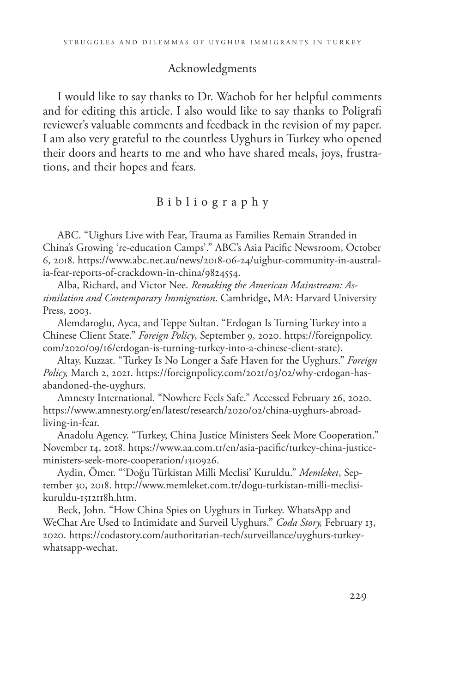### Acknowledgments

I would like to say thanks to Dr. Wachob for her helpful comments and for editing this article. I also would like to say thanks to Poligrafi reviewer's valuable comments and feedback in the revision of my paper. I am also very grateful to the countless Uyghurs in Turkey who opened their doors and hearts to me and who have shared meals, joys, frustrations, and their hopes and fears.

#### Bibliography

ABC. "Uighurs Live with Fear, Trauma as Families Remain Stranded in China's Growing 're-education Camps'." ABC's Asia Pacific Newsroom, October 6, 2018. [https://www.abc.net.au/news/2018-06-24/uighur-community-in-austral](https://www.abc.net.au/news/2018-06-24/uighur-community-in-australia-fear-reports-of-crackdown-in-china/9824554)[ia-fear-reports-of-crackdown-in-china/9824554.](https://www.abc.net.au/news/2018-06-24/uighur-community-in-australia-fear-reports-of-crackdown-in-china/9824554)

Alba, Richard, and Victor Nee. *Remaking the American Mainstream: Assimilation and Contemporary Immigration*. Cambridge, MA: Harvard University Press, 2003.

Alemdaroglu, Ayca, and Teppe Sultan. "Erdogan Is Turning Turkey into a Chinese Client State." *Foreign Policy*, September 9, 2020. https://foreignpolicy. com/2020/09/16/erdogan-is-turning-turkey-into-a-chinese-client-state).

Altay, Kuzzat. "Turkey Is No Longer a Safe Haven for the Uyghurs." *Foreign Policy,* March 2, 2021. [https://foreignpolicy.com/2021/03/02/why-erdogan-has](https://foreignpolicy.com/2021/03/02/why-erdogan-has-abandoned-the-uyghurs)[abandoned-the-uyghurs.](https://foreignpolicy.com/2021/03/02/why-erdogan-has-abandoned-the-uyghurs)

Amnesty International. "Nowhere Feels Safe." Accessed February 26, 2020. [https://www.amnesty.org/en/latest/research/2020/02/china-uyghurs-abroad](https://www.amnesty.org/en/latest/research/2020/02/china-uyghurs-abroad-living-in-fear)[living-in-fear](https://www.amnesty.org/en/latest/research/2020/02/china-uyghurs-abroad-living-in-fear).

Anadolu Agency. "Turkey, China Justice Ministers Seek More Cooperation." November 14, 2018. [https://www.aa.com.tr/en/asia-pacific/turkey-china-justice](https://www.aa.com.tr/en/asia-pacific/turkey-china-justice-ministers-seek-more-cooperation/1310926)[ministers-seek-more-cooperation/1310926](https://www.aa.com.tr/en/asia-pacific/turkey-china-justice-ministers-seek-more-cooperation/1310926).

Aydin, Ömer. "'Doğu Türkistan Milli Meclisi' Kuruldu." *Memleket*, September 30, 2018. http://www.memleket.com.tr/dogu-turkistan-milli-meclisikuruldu-1512118h.htm.

Beck, John. "How China Spies on Uyghurs in Turkey. WhatsApp and WeChat Are Used to Intimidate and Surveil Uyghurs." *Coda Story,* February 13, 2020. https://codastory.com/authoritarian-tech/surveillance/uyghurs-turkeywhatsapp-wechat.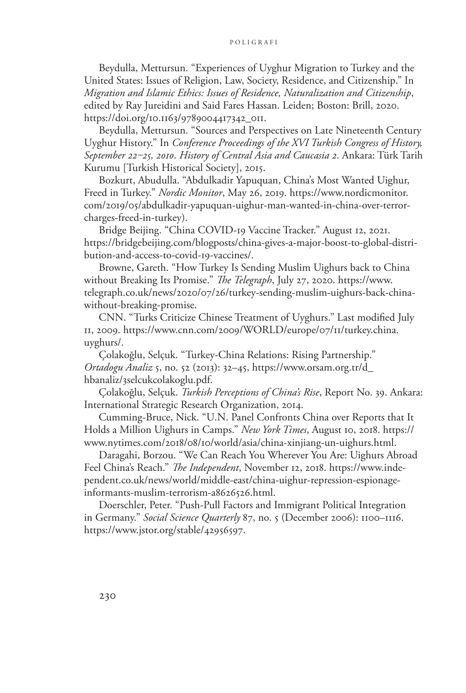Beydulla, Mettursun. "Experiences of Uyghur Migration to Turkey and the United States: Issues of Religion, Law, Society, Residence, and Citizenship." In *Migration and Islamic Ethics: Issues of Residence, Naturalization and Citizenship*, edited by Ray Jureidini and Said Fares Hassan. Leiden; Boston: Brill, 2020. [https://doi.org/10.1163/9789004417342\\_011.](https://doi.org/10.1163/9789004417342_011)

Beydulla, Mettursun. "Sources and Perspectives on Late Nineteenth Century Uyghur History." In *Conference Proceedings of the XVI Turkish Congress of History, September 22‒25, 2010*. *History of Central Asia and Caucasia 2*. Ankara: Türk Tarih Kurumu [Turkish Historical Society], 2015.

Bozkurt, Abudulla. "Abdulkadir Yapuquan, China's Most Wanted Uighur, Freed in Turkey." *Nordic Monitor*, May 26, 2019. [https://www.nordicmonitor.](https://www.nordicmonitor.com/2019/05/abdulkadir-yapuquan-uighur-man-wanted-in-china-over-terror-charges-freed-in-turkey) [com/2019/05/abdulkadir-yapuquan-uighur-man-wanted-in-china-over-terror](https://www.nordicmonitor.com/2019/05/abdulkadir-yapuquan-uighur-man-wanted-in-china-over-terror-charges-freed-in-turkey)[charges-freed-in-turkey\)](https://www.nordicmonitor.com/2019/05/abdulkadir-yapuquan-uighur-man-wanted-in-china-over-terror-charges-freed-in-turkey).

Bridge Beijing. "China COVID-19 Vaccine Tracker." August 12, 2021. [https://bridgebeijing.com/blogposts/china-gives-a-major-boost-to-global-distri](https://bridgebeijing.com/blogposts/china-gives-a-major-boost-to-global-distribution-and-access-to-c)[bution-and-access-to-covid-19-vaccines/.](https://bridgebeijing.com/blogposts/china-gives-a-major-boost-to-global-distribution-and-access-to-c)

Browne, Gareth. "How Turkey Is Sending Muslim Uighurs back to China without Breaking Its Promise." *The Telegraph*, July 27, 2020. [https://www.](https://www.telegraph.co.uk/news/2020/07/26/turkey-sending-muslim-uighurs-back-china-without-breaking-promise%3e%20(last%20accessed%207%20June%202020).%20) [telegraph.co.uk/news/2020/07/26/turkey-sending-muslim-uighurs-back-china](https://www.telegraph.co.uk/news/2020/07/26/turkey-sending-muslim-uighurs-back-china-without-breaking-promise%3e%20(last%20accessed%207%20June%202020).%20)[without-breaking-promise.](https://www.telegraph.co.uk/news/2020/07/26/turkey-sending-muslim-uighurs-back-china-without-breaking-promise%3e%20(last%20accessed%207%20June%202020).%20)

CNN. "Turks Criticize Chinese Treatment of Uyghurs." Last modified July 11, 2009. [https://www.cnn.com/2009/WORLD/europe/07/11/turkey.china.](https://www.cnn.com/2009/WORLD/europe/07/11/turkey.china.uyghurs/) [uyghurs/.](https://www.cnn.com/2009/WORLD/europe/07/11/turkey.china.uyghurs/)

Çolakoğlu, Selçuk. "Turkey-China Relations: Rising Partnership." *Ortadogu Analiz* 5, no. 52 (2013): 32–45, https://www.orsam.org.tr/d\_ hbanaliz/3selcukcolakoglu.pdf.

Çolakoğlu, Selçuk. *Turkish Perceptions of China's Rise*, Report No. 39. Ankara: International Strategic Research Organization, 2014.

Cumming-Bruce, Nick. "U.N. Panel Confronts China over Reports that It Holds a Million Uighurs in Camps." *New York Times*, August 10, 2018. [https://](https://www.nytimes.com/2018/08/10/world/asia/china-xinjiang-un-uighurs.html) [www.nytimes.com/2018/08/10/world/asia/china-xinjiang-un-uighurs.html.](https://www.nytimes.com/2018/08/10/world/asia/china-xinjiang-un-uighurs.html)

Daragahi, Borzou. "We Can Reach You Wherever You Are: Uighurs Abroad Feel China's Reach." *The Independent*, November 12, 2018. [https://www.inde](https://www.independent.co.uk/news/world/middle-east/china-uighur-repression-espionage-informants-muslim-terrorism-a8626526.html)[pendent.co.uk/news/world/middle-east/china-uighur-repression-espionage](https://www.independent.co.uk/news/world/middle-east/china-uighur-repression-espionage-informants-muslim-terrorism-a8626526.html)[informants-muslim-terrorism-a8626526.html.](https://www.independent.co.uk/news/world/middle-east/china-uighur-repression-espionage-informants-muslim-terrorism-a8626526.html)

Doerschler, Peter. "Push-Pull Factors and Immigrant Political Integration in Germany." *Social Science Quarterly* 87, no. 5 (December 2006): 1100–1116. https://www.jstor.org/stable/42956597.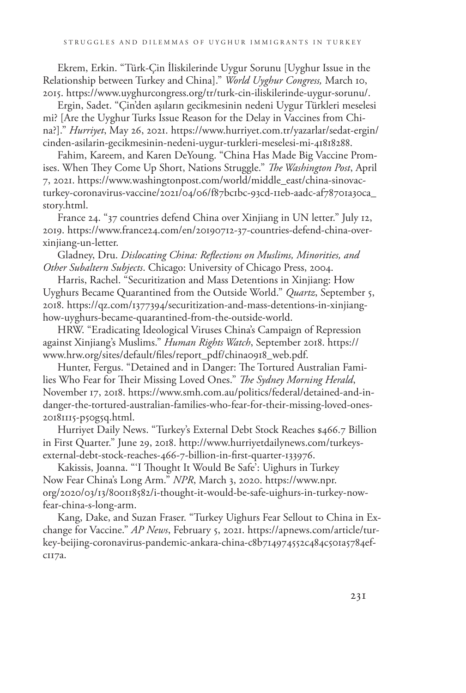Ekrem, Erkin. "Türk-Çin İliskilerinde Uygur Sorunu [Uyghur Issue in the Relationship between Turkey and China]." *World Uyghur Congress,* March 10, 2015. [https://www.uyghurcongress.org/tr/turk-cin-iliskilerinde-uygur-sorunu/.](https://www.uyghurcongress.org/tr/turk-cin-iliskilerinde-uygur-sorunu/)

Ergin, Sadet. "Çin'den aşıların gecikmesinin nedeni Uygur Türkleri meselesi mi? [Are the Uyghur Turks Issue Reason for the Delay in Vaccines from China?]." *Hurriyet*, May 26, 2021. [https://www.hurriyet.com.tr/yazarlar/sedat-ergin/](https://www.hurriyet.com.tr/yazarlar/sedat-ergin/cinden-asilarin-gecikmesinin-nedeni-uygur-turkleri-meselesi-mi-41818288) [cinden-asilarin-gecikmesinin-nedeni-uygur-turkleri-meselesi-mi-41818288.](https://www.hurriyet.com.tr/yazarlar/sedat-ergin/cinden-asilarin-gecikmesinin-nedeni-uygur-turkleri-meselesi-mi-41818288)

Fahim, Kareem, and Karen DeYoung. "China Has Made Big Vaccine Promises. When They Come Up Short, Nations Struggle." *The Washington Post*, April 7, 2021. [https://www.washingtonpost.com/world/middle\\_east/china-sinovac](https://www.washingtonpost.com/world/middle_east/china-sinovac-turkey-coronavirus-vaccine/2021/04/06/f87bc1bc-93cd-11eb-aadc-af78701a30ca_story.html)[turkey-coronavirus-vaccine/2021/04/06/f87bc1bc-93cd-11eb-aadc-af78701a30ca\\_](https://www.washingtonpost.com/world/middle_east/china-sinovac-turkey-coronavirus-vaccine/2021/04/06/f87bc1bc-93cd-11eb-aadc-af78701a30ca_story.html) [story.html](https://www.washingtonpost.com/world/middle_east/china-sinovac-turkey-coronavirus-vaccine/2021/04/06/f87bc1bc-93cd-11eb-aadc-af78701a30ca_story.html).

France 24. "37 countries defend China over Xinjiang in UN letter." July 12, 2019. [https://www.france24.com/en/20190712-37-countries-defend-china-over](https://www.france24.com/en/20190712-37-countries-defend-china-over-xinjiang-un-letter)[xinjiang-un-letter](https://www.france24.com/en/20190712-37-countries-defend-china-over-xinjiang-un-letter).

Gladney, Dru. *Dislocating China: Reflections on Muslims, Minorities, and Other Subaltern Subjects*. Chicago: University of Chicago Press, 2004.

Harris, Rachel. "Securitization and Mass Detentions in Xinjiang: How Uyghurs Became Quarantined from the Outside World." *Quartz*, September 5, 2018. [https://qz.com/1377394/securitization-and-mass-detentions-in-xinjiang](https://qz.com/1377394/securitization-and-mass-detentions-in-xinjiang-how-uyghurs-became-quarantined-from-the-outside-world)[how-uyghurs-became-quarantined-from-the-outside-world.](https://qz.com/1377394/securitization-and-mass-detentions-in-xinjiang-how-uyghurs-became-quarantined-from-the-outside-world)

HRW. "Eradicating Ideological Viruses China's Campaign of Repression against Xinjiang's Muslims." *Human Rights Watch*, September 2018. [https://](https://www.hrw.org/sites/default/files/report_pdf/china0918_web.pdf) [www.hrw.org/sites/default/files/report\\_pdf/china0918\\_web.pdf](https://www.hrw.org/sites/default/files/report_pdf/china0918_web.pdf).

Hunter, Fergus. "Detained and in Danger: The Tortured Australian Families Who Fear for Their Missing Loved Ones." *The Sydney Morning Herald*, November 17, 2018. [https://www.smh.com.au/politics/federal/detained-and-in](https://www.smh.com.au/politics/federal/detained-and-in-danger-the-tortured-australian-families-who-fear-for-their-missing-loved-ones-20181115-p50g5q.html)[danger-the-tortured-australian-families-who-fear-for-their-missing-loved-ones-](https://www.smh.com.au/politics/federal/detained-and-in-danger-the-tortured-australian-families-who-fear-for-their-missing-loved-ones-20181115-p50g5q.html)[20181115-p50g5q.html](https://www.smh.com.au/politics/federal/detained-and-in-danger-the-tortured-australian-families-who-fear-for-their-missing-loved-ones-20181115-p50g5q.html).

Hurriyet Daily News. "Turkey's External Debt Stock Reaches \$466.7 Billion in First Quarter." June 29, 2018. [http://www.hurriyetdailynews.com/turkeys](http://www.hurriyetdailynews.com/turkeys-external-debt-stock-reaches-466-7-billion-in-first-quarter-133976)[external-debt-stock-reaches-466-7-billion-in-first-quarter-133976.](http://www.hurriyetdailynews.com/turkeys-external-debt-stock-reaches-466-7-billion-in-first-quarter-133976)

Kakissis, Joanna. "'I Thought It Would Be Safe': Uighurs in Turkey Now Fear China's Long Arm." *NPR*, March 3, 2020. [https://www.npr.](https://www.npr.org/2020/03/13/800118582/i-thought-it-would-be-safe-uighurs-in-turkey-now-fear-china-s-long-arm.%20) [org/2020/03/13/800118582/i-thought-it-would-be-safe-uighurs-in-turkey-now](https://www.npr.org/2020/03/13/800118582/i-thought-it-would-be-safe-uighurs-in-turkey-now-fear-china-s-long-arm.%20)[fear-china-s-long-arm.](https://www.npr.org/2020/03/13/800118582/i-thought-it-would-be-safe-uighurs-in-turkey-now-fear-china-s-long-arm.%20) 

Kang, Dake, and Suzan Fraser. "Turkey Uighurs Fear Sellout to China in Exchange for Vaccine." *AP News*, February 5, 2021. https://apnews.com/article/turkey-beijing-coronavirus-pandemic-ankara-china-c8b714974552c484c501a5784efc117a.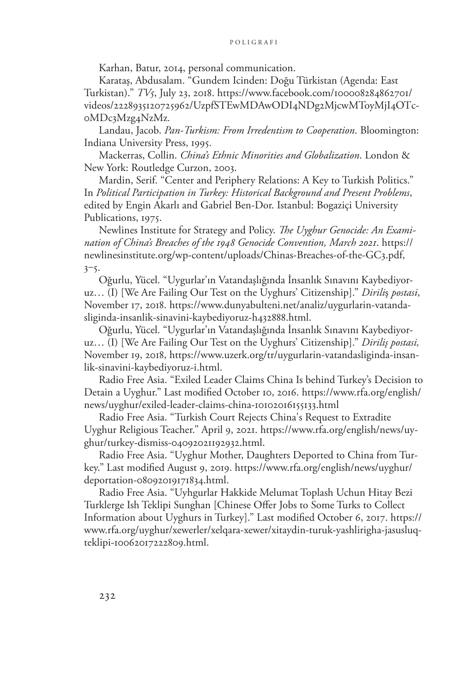Karhan, Batur, 2014, personal communication.

Karataş, Abdusalam. "Gundem Icinden: Doğu Türkistan (Agenda: East Turkistan)." *TV5*, July 23, 2018. https://www.facebook.com/100008284862701/ videos/2228935120725962/UzpfSTEwMDAwODI4NDg2MjcwMToyMjI4OTc-0MDc3Mzg4NzMz.

Landau, Jacob. *Pan-Turkism: From Irredentism to Cooperation*. Bloomington: Indiana University Press, 1995.

Mackerras, Collin. *China's Ethnic Minorities and Globalization*. London & New York: Routledge Curzon, 2003.

Mardin, Serif. "Center and Periphery Relations: A Key to Turkish Politics." In *Political Participation in Turkey: Historical Background and Present Problems*, edited by Engin Akarlı and Gabriel Ben-Dor. Istanbul: Bogaziçi University Publications, 1975.

Newlines Institute for Strategy and Policy. *The Uyghur Genocide: An Examination of China's Breaches of the 1948 Genocide Convention, March 2021*. https:// newlinesinstitute.org/wp-content/uploads/Chinas-Breaches-of-the-GC3.pdf,  $3 - 5$ .

Oğurlu, Yücel. "Uygurlar'ın Vatandaşlığında İnsanlık Sınavını Kaybediyoruz… (I) [We Are Failing Our Test on the Uyghurs' Citizenship]." *Dirili*ş *postasi*, November 17, 2018. [https://www.dunyabulteni.net/analiz/uygurlarin-vatanda](https://www.dunyabulteni.net/analiz/uygurlarin-vatandasliginda-insanlik-sinavini-kaybediyoruz-h432888.html)[sliginda-insanlik-sinavini-kaybediyoruz-h432888.html.](https://www.dunyabulteni.net/analiz/uygurlarin-vatandasliginda-insanlik-sinavini-kaybediyoruz-h432888.html)

Oğurlu, Yücel. "Uygurlar'ın Vatandaşlığında İnsanlık Sınavını Kaybediyoruz… (I) [We Are Failing Our Test on the Uyghurs' Citizenship]." *Diriliş postasi,* November 19, 2018, https://www.uzerk.org/tr/uygurlarin-vatandasliginda-insanlik-sinavini-kaybediyoruz-i.html.

Radio Free Asia. "Exiled Leader Claims China Is behind Turkey's Decision to Detain a Uyghur." Last modified October 10, 2016. [https://www.rfa.org/english/](https://www.rfa.org/english/news/uyghur/exiled-leader-claims-china-10102016155133.html) [news/uyghur/exiled-leader-claims-china-10102016155133.html](https://www.rfa.org/english/news/uyghur/exiled-leader-claims-china-10102016155133.html)

Radio Free Asia. "Turkish Court Rejects China's Request to Extradite Uyghur Religious Teacher." April 9, 2021. [https://www.rfa.org/english/news/uy](https://www.rfa.org/english/news/uyghur/turkey-dismiss-04092021192932.html)[ghur/turkey-dismiss-04092021192932.html](https://www.rfa.org/english/news/uyghur/turkey-dismiss-04092021192932.html).

Radio Free Asia. "Uyghur Mother, Daughters Deported to China from Turkey." Last modified August 9, 2019. [https://www.rfa.org/english/news/uyghur/](https://www.rfa.org/english/news/uyghur/deportation-08092019171834.html) [deportation-08092019171834.html.](https://www.rfa.org/english/news/uyghur/deportation-08092019171834.html)

Radio Free Asia. "Uyhgurlar Hakkide Melumat Toplash Uchun Hitay Bezi Turklerge Ish Teklipi Sunghan [Chinese Offer Jobs to Some Turks to Collect Information about Uyghurs in Turkey]." Last modified October 6, 2017. [https://](https://www.rfa.org/uyghur/xewerler/xelqara-xewer/xitaydin-turuk-yashlirigha-jasusluq-teklipi-10062017222809.html) [www.rfa.org/uyghur/xewerler/xelqara-xewer/xitaydin-turuk-yashlirigha-jasusluq](https://www.rfa.org/uyghur/xewerler/xelqara-xewer/xitaydin-turuk-yashlirigha-jasusluq-teklipi-10062017222809.html)[teklipi-10062017222809.html](https://www.rfa.org/uyghur/xewerler/xelqara-xewer/xitaydin-turuk-yashlirigha-jasusluq-teklipi-10062017222809.html).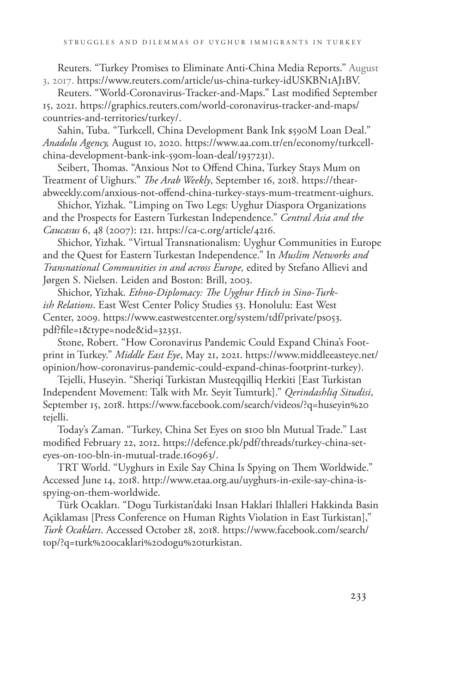Reuters. "Turkey Promises to Eliminate Anti-China Media Reports." August 3, 2017. <https://www.reuters.com/article/us-china-turkey-idUSKBN1AJ1BV>.

Reuters. "World-Coronavirus-Tracker-and-Maps." Last modified September 15, 2021. https://graphics.reuters.com/world-coronavirus-tracker-and-maps/ countries-and-territories/turkey/.

Sahin, Tuba. "Turkcell, China Development Bank Ink \$590M Loan Deal." *Anadolu Agency,* August 10, 2020. [https://www.aa.com.tr/en/economy/turkcell](https://www.aa.com.tr/en/economy/turkcell-china-development-bank-ink-590m-loan-deal/1937231)[china-development-bank-ink-590m-loan-deal/1937231](https://www.aa.com.tr/en/economy/turkcell-china-development-bank-ink-590m-loan-deal/1937231)).

Seibert, Thomas. "Anxious Not to Offend China, Turkey Stays Mum on Treatment of Uighurs." *The Arab Weekly*, September 16, 2018. [https://thear](https://thearabweekly.com/anxious-not-offend-china-turkey-stays-mum-treatment-uighurs)[abweekly.com/anxious-not-offend-china-turkey-stays-mum-treatment-uighurs.](https://thearabweekly.com/anxious-not-offend-china-turkey-stays-mum-treatment-uighurs)

Shichor, Yizhak. "Limping on Two Legs: Uyghur Diaspora Organizations and the Prospects for Eastern Turkestan Independence." *Central Asia and the Caucasus* 6, 48 (2007): 121. https://ca-c.org/article/4216.

Shichor, Yizhak. "Virtual Transnationalism: Uyghur Communities in Europe and the Quest for Eastern Turkestan Independence." In *Muslim Networks and Transnational Communities in and across Europe,* edited by Stefano Allievi and Jørgen S. Nielsen. Leiden and Boston: Brill, 2003.

Shichor, Yizhak. *Ethno-Diplomacy: The Uyghur Hitch in Sino-Turkish Relations*. East West Center Policy Studies 53. Honolulu: East West Center, 2009. https://www.eastwestcenter.org/system/tdf/private/ps053. pdf?file=1&type=node&id=32351.

Stone, Robert. "How Coronavirus Pandemic Could Expand China's Footprint in Turkey." *Middle East Eye*, May 21, 2021. [https://www.middleeasteye.net/](https://www.middleeasteye.net/opinion/how-coronavirus-pandemic-could-expand-chinas-footprint-turkey) [opinion/how-coronavirus-pandemic-could-expand-chinas-footprint-turkey\)](https://www.middleeasteye.net/opinion/how-coronavirus-pandemic-could-expand-chinas-footprint-turkey).

Tejelli, Huseyin. "Sheriqi Turkistan Musteqqilliq Herkiti [East Turkistan Independent Movement: Talk with Mr. Seyit Tumturk]." *Qerindashliq Situdisi*, September 15, 2018. [https://www.facebook.com/search/videos/?q=huseyin%20](https://www.facebook.com/search/videos/?q=huseyin%20tejelli) [tejelli](https://www.facebook.com/search/videos/?q=huseyin%20tejelli).

Today's Zaman. "Turkey, China Set Eyes on \$100 bln Mutual Trade." Last modified February 22, 2012. [https://defence.pk/pdf/threads/turkey-china-set](https://defence.pk/pdf/threads/turkey-china-set-eyes-on-100-bln-in-mutual-trade.160963/)[eyes-on-100-bln-in-mutual-trade.160963/](https://defence.pk/pdf/threads/turkey-china-set-eyes-on-100-bln-in-mutual-trade.160963/).

TRT World. "Uyghurs in Exile Say China Is Spying on Them Worldwide." Accessed June 14, 2018. [http://www.etaa.org.au/uyghurs-in-exile-say-china-is](http://www.etaa.org.au/uyghurs-in-exile-say-china-is-spying-on-them-worldwide)[spying-on-them-worldwide.](http://www.etaa.org.au/uyghurs-in-exile-say-china-is-spying-on-them-worldwide)

Türk Ocakları. "Dogu Turkistan'daki Insan Haklari Ihlalleri Hakkinda Basin Açiklaması [Press Conference on Human Rights Violation in East Turkistan]," *Turk Ocakları*. Accessed October 28, 2018. [https://www.facebook.com/search/](https://www.facebook.com/search/top/?q=turk%20ocaklari%20dogu%20turkistan) [top/?q=turk%20ocaklari%20dogu%20turkistan](https://www.facebook.com/search/top/?q=turk%20ocaklari%20dogu%20turkistan).